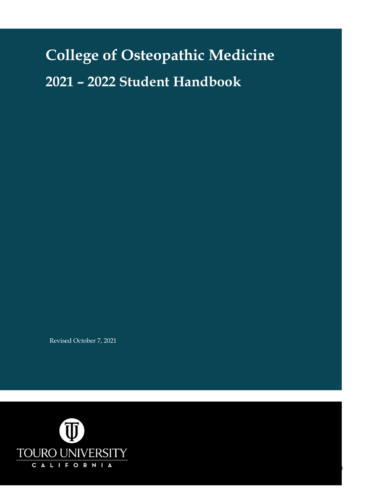# **College of Osteopathic Medicine 2021 – 2022 Student Handbook**

Revised October 7, 2021

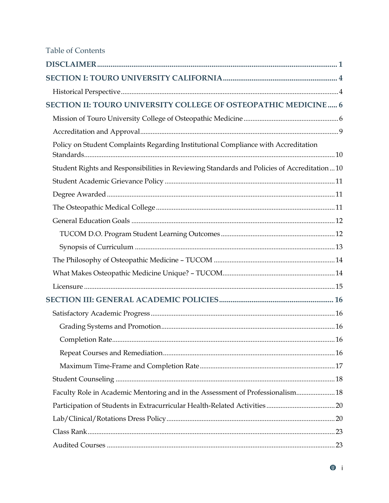| <b>Table of Contents</b>                                                                   |  |
|--------------------------------------------------------------------------------------------|--|
|                                                                                            |  |
|                                                                                            |  |
|                                                                                            |  |
| SECTION II: TOURO UNIVERSITY COLLEGE OF OSTEOPATHIC MEDICINE 6                             |  |
|                                                                                            |  |
|                                                                                            |  |
| Policy on Student Complaints Regarding Institutional Compliance with Accreditation         |  |
| Student Rights and Responsibilities in Reviewing Standards and Policies of Accreditation10 |  |
|                                                                                            |  |
|                                                                                            |  |
|                                                                                            |  |
|                                                                                            |  |
|                                                                                            |  |
|                                                                                            |  |
|                                                                                            |  |
|                                                                                            |  |
|                                                                                            |  |
|                                                                                            |  |
|                                                                                            |  |
|                                                                                            |  |
|                                                                                            |  |
|                                                                                            |  |
|                                                                                            |  |
|                                                                                            |  |
| Faculty Role in Academic Mentoring and in the Assessment of Professionalism 18             |  |
|                                                                                            |  |
|                                                                                            |  |
|                                                                                            |  |
|                                                                                            |  |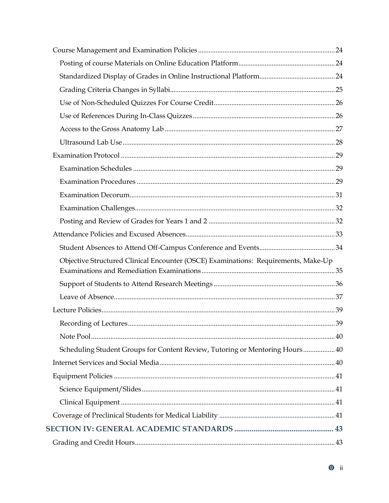| Objective Structured Clinical Encounter (OSCE) Examinations: Requirements, Make-Up |  |
|------------------------------------------------------------------------------------|--|
|                                                                                    |  |
|                                                                                    |  |
|                                                                                    |  |
|                                                                                    |  |
|                                                                                    |  |
|                                                                                    |  |
|                                                                                    |  |
|                                                                                    |  |
|                                                                                    |  |
|                                                                                    |  |
|                                                                                    |  |
|                                                                                    |  |
|                                                                                    |  |
|                                                                                    |  |
|                                                                                    |  |
|                                                                                    |  |
|                                                                                    |  |
|                                                                                    |  |
|                                                                                    |  |
|                                                                                    |  |
|                                                                                    |  |
| Scheduling Student Groups for Content Review, Tutoring or Mentoring Hours 40       |  |
|                                                                                    |  |
|                                                                                    |  |
|                                                                                    |  |
|                                                                                    |  |
|                                                                                    |  |
|                                                                                    |  |
|                                                                                    |  |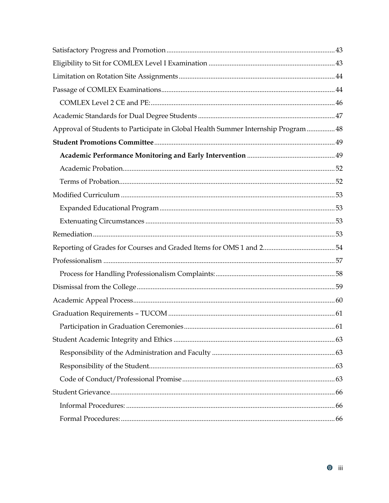| Approval of Students to Participate in Global Health Summer Internship Program  48 |  |
|------------------------------------------------------------------------------------|--|
|                                                                                    |  |
|                                                                                    |  |
|                                                                                    |  |
|                                                                                    |  |
|                                                                                    |  |
|                                                                                    |  |
|                                                                                    |  |
|                                                                                    |  |
|                                                                                    |  |
|                                                                                    |  |
|                                                                                    |  |
|                                                                                    |  |
|                                                                                    |  |
|                                                                                    |  |
|                                                                                    |  |
|                                                                                    |  |
|                                                                                    |  |
|                                                                                    |  |
|                                                                                    |  |
|                                                                                    |  |
|                                                                                    |  |
|                                                                                    |  |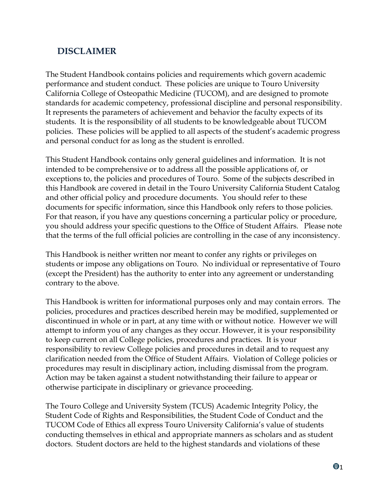# <span id="page-4-0"></span>**DISCLAIMER**

The Student Handbook contains policies and requirements which govern academic performance and student conduct. These policies are unique to Touro University California College of Osteopathic Medicine (TUCOM), and are designed to promote standards for academic competency, professional discipline and personal responsibility. It represents the parameters of achievement and behavior the faculty expects of its students. It is the responsibility of all students to be knowledgeable about TUCOM policies. These policies will be applied to all aspects of the student's academic progress and personal conduct for as long as the student is enrolled.

This Student Handbook contains only general guidelines and information. It is not intended to be comprehensive or to address all the possible applications of, or exceptions to, the policies and procedures of Touro. Some of the subjects described in this Handbook are covered in detail in the Touro University California Student Catalog and other official policy and procedure documents. You should refer to these documents for specific information, since this Handbook only refers to those policies. For that reason, if you have any questions concerning a particular policy or procedure, you should address your specific questions to the Office of Student Affairs. Please note that the terms of the full official policies are controlling in the case of any inconsistency.

This Handbook is neither written nor meant to confer any rights or privileges on students or impose any obligations on Touro. No individual or representative of Touro (except the President) has the authority to enter into any agreement or understanding contrary to the above.

This Handbook is written for informational purposes only and may contain errors. The policies, procedures and practices described herein may be modified, supplemented or discontinued in whole or in part, at any time with or without notice. However we will attempt to inform you of any changes as they occur. However, it is your responsibility to keep current on all College policies, procedures and practices. It is your responsibility to review College policies and procedures in detail and to request any clarification needed from the Office of Student Affairs. Violation of College policies or procedures may result in disciplinary action, including dismissal from the program. Action may be taken against a student notwithstanding their failure to appear or otherwise participate in disciplinary or grievance proceeding.

The Touro College and University System (TCUS) Academic Integrity Policy, the Student Code of Rights and Responsibilities, the Student Code of Conduct and the TUCOM Code of Ethics all express Touro University California's value of students conducting themselves in ethical and appropriate manners as scholars and as student doctors. Student doctors are held to the highest standards and violations of these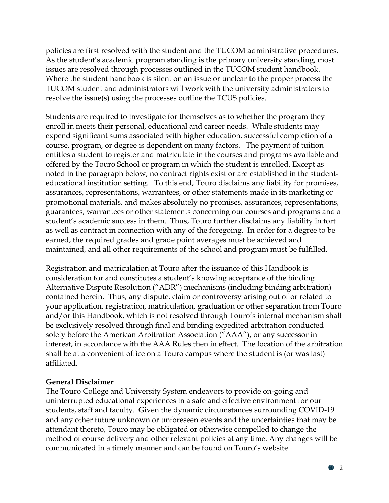policies are first resolved with the student and the TUCOM administrative procedures. As the student's academic program standing is the primary university standing, most issues are resolved through processes outlined in the TUCOM student handbook. Where the student handbook is silent on an issue or unclear to the proper process the TUCOM student and administrators will work with the university administrators to resolve the issue(s) using the processes outline the TCUS policies.

Students are required to investigate for themselves as to whether the program they enroll in meets their personal, educational and career needs. While students may expend significant sums associated with higher education, successful completion of a course, program, or degree is dependent on many factors. The payment of tuition entitles a student to register and matriculate in the courses and programs available and offered by the Touro School or program in which the student is enrolled. Except as noted in the paragraph below, no contract rights exist or are established in the studenteducational institution setting. To this end, Touro disclaims any liability for promises, assurances, representations, warrantees, or other statements made in its marketing or promotional materials, and makes absolutely no promises, assurances, representations, guarantees, warrantees or other statements concerning our courses and programs and a student's academic success in them. Thus, Touro further disclaims any liability in tort as well as contract in connection with any of the foregoing. In order for a degree to be earned, the required grades and grade point averages must be achieved and maintained, and all other requirements of the school and program must be fulfilled.

Registration and matriculation at Touro after the issuance of this Handbook is consideration for and constitutes a student's knowing acceptance of the binding Alternative Dispute Resolution ("ADR") mechanisms (including binding arbitration) contained herein. Thus, any dispute, claim or controversy arising out of or related to your application, registration, matriculation, graduation or other separation from Touro and/or this Handbook, which is not resolved through Touro's internal mechanism shall be exclusively resolved through final and binding expedited arbitration conducted solely before the American Arbitration Association ("AAA"), or any successor in interest, in accordance with the AAA Rules then in effect. The location of the arbitration shall be at a convenient office on a Touro campus where the student is (or was last) affiliated.

#### **General Disclaimer**

The Touro College and University System endeavors to provide on-going and uninterrupted educational experiences in a safe and effective environment for our students, staff and faculty. Given the dynamic circumstances surrounding COVID-19 and any other future unknown or unforeseen events and the uncertainties that may be attendant thereto, Touro may be obligated or otherwise compelled to change the method of course delivery and other relevant policies at any time. Any changes will be communicated in a timely manner and can be found on Touro's website.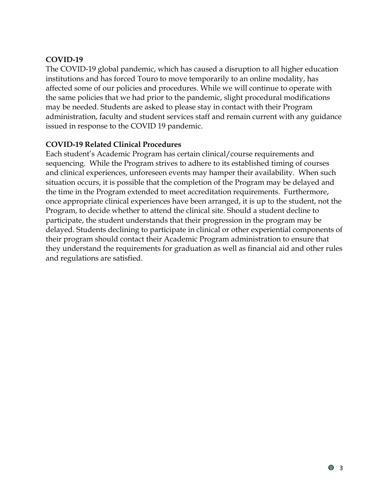#### **COVID-19**

The COVID-19 global pandemic, which has caused a disruption to all higher education institutions and has forced Touro to move temporarily to an online modality, has affected some of our policies and procedures. While we will continue to operate with the same policies that we had prior to the pandemic, slight procedural modifications may be needed. Students are asked to please stay in contact with their Program administration, faculty and student services staff and remain current with any guidance issued in response to the COVID 19 pandemic.

#### **COVID-19 Related Clinical Procedures**

Each student's Academic Program has certain clinical/course requirements and sequencing. While the Program strives to adhere to its established timing of courses and clinical experiences, unforeseen events may hamper their availability. When such situation occurs, it is possible that the completion of the Program may be delayed and the time in the Program extended to meet accreditation requirements. Furthermore, once appropriate clinical experiences have been arranged, it is up to the student, not the Program, to decide whether to attend the clinical site. Should a student decline to participate, the student understands that their progression in the program may be delayed. Students declining to participate in clinical or other experiential components of their program should contact their Academic Program administration to ensure that they understand the requirements for graduation as well as financial aid and other rules and regulations are satisfied.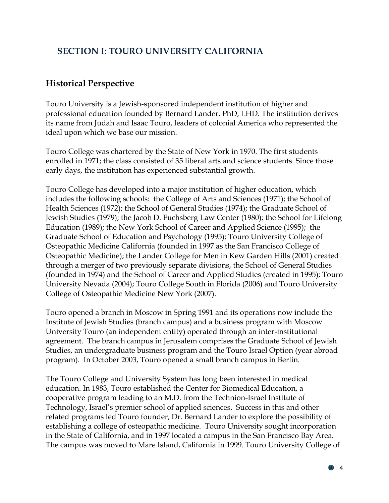# <span id="page-7-0"></span>**SECTION I: TOURO UNIVERSITY CALIFORNIA**

# <span id="page-7-1"></span>**Historical Perspective**

Touro University is a Jewish-sponsored independent institution of higher and professional education founded by Bernard Lander, PhD, LHD. The institution derives its name from Judah and Isaac Touro, leaders of colonial America who represented the ideal upon which we base our mission.

Touro College was chartered by the State of New York in 1970. The first students enrolled in 1971; the class consisted of 35 liberal arts and science students. Since those early days, the institution has experienced substantial growth.

Touro College has developed into a major institution of higher education, which includes the following schools: the College of Arts and Sciences (1971); the School of Health Sciences (1972); the School of General Studies (1974); the Graduate School of Jewish Studies (1979); the Jacob D. Fuchsberg Law Center (1980); the School for Lifelong Education (1989); the New York School of Career and Applied Science (1995); the Graduate School of Education and Psychology (1995); Touro University College of Osteopathic Medicine California (founded in 1997 as the San Francisco College of Osteopathic Medicine); the Lander College for Men in Kew Garden Hills (2001) created through a merger of two previously separate divisions, the School of General Studies (founded in 1974) and the School of Career and Applied Studies (created in 1995); Touro University Nevada (2004); Touro College South in Florida (2006) and Touro University College of Osteopathic Medicine New York (2007).

Touro opened a branch in Moscow in Spring 1991 and its operations now include the Institute of Jewish Studies (branch campus) and a business program with Moscow University Touro (an independent entity) operated through an inter-institutional agreement. The branch campus in Jerusalem comprises the Graduate School of Jewish Studies, an undergraduate business program and the Touro Israel Option (year abroad program). In October 2003, Touro opened a small branch campus in Berlin.

The Touro College and University System has long been interested in medical education. In 1983, Touro established the Center for Biomedical Education, a cooperative program leading to an M.D. from the Technion-Israel Institute of Technology, Israel's premier school of applied sciences. Success in this and other related programs led Touro founder, Dr. Bernard Lander to explore the possibility of establishing a college of osteopathic medicine. Touro University sought incorporation in the State of California, and in 1997 located a campus in the San Francisco Bay Area. The campus was moved to Mare Island, California in 1999. Touro University College of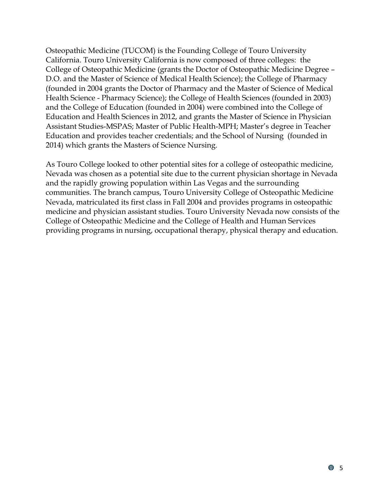Osteopathic Medicine (TUCOM) is the Founding College of Touro University California. Touro University California is now composed of three colleges: the College of Osteopathic Medicine (grants the Doctor of Osteopathic Medicine Degree – D.O. and the Master of Science of Medical Health Science); the College of Pharmacy (founded in 2004 grants the Doctor of Pharmacy and the Master of Science of Medical Health Science - Pharmacy Science); the College of Health Sciences (founded in 2003) and the College of Education (founded in 2004) were combined into the College of Education and Health Sciences in 2012, and grants the Master of Science in Physician Assistant Studies-MSPAS; Master of Public Health-MPH; Master's degree in Teacher Education and provides teacher credentials; and the School of Nursing (founded in 2014) which grants the Masters of Science Nursing.

As Touro College looked to other potential sites for a college of osteopathic medicine, Nevada was chosen as a potential site due to the current physician shortage in Nevada and the rapidly growing population within Las Vegas and the surrounding communities. The branch campus, Touro University College of Osteopathic Medicine Nevada, matriculated its first class in Fall 2004 and provides programs in osteopathic medicine and physician assistant studies. Touro University Nevada now consists of the College of Osteopathic Medicine and the College of Health and Human Services providing programs in nursing, occupational therapy, physical therapy and education.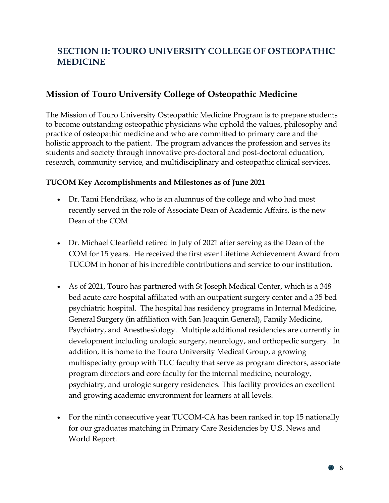# <span id="page-9-0"></span>**SECTION II: TOURO UNIVERSITY COLLEGE OF OSTEOPATHIC MEDICINE**

## <span id="page-9-1"></span>**Mission of Touro University College of Osteopathic Medicine**

The Mission of Touro University Osteopathic Medicine Program is to prepare students to become outstanding osteopathic physicians who uphold the values, philosophy and practice of osteopathic medicine and who are committed to primary care and the holistic approach to the patient. The program advances the profession and serves its students and society through innovative pre-doctoral and post-doctoral education, research, community service, and multidisciplinary and osteopathic clinical services.

#### **TUCOM Key Accomplishments and Milestones as of June 2021**

- Dr. Tami Hendriksz, who is an alumnus of the college and who had most recently served in the role of Associate Dean of Academic Affairs, is the new Dean of the COM.
- Dr. Michael Clearfield retired in July of 2021 after serving as the Dean of the COM for 15 years. He received the first ever Lifetime Achievement Award from TUCOM in honor of his incredible contributions and service to our institution.
- As of 2021, Touro has partnered with St Joseph Medical Center, which is a 348 bed acute care hospital affiliated with an outpatient surgery center and a 35 bed psychiatric hospital. The hospital has residency programs in Internal Medicine, General Surgery (in affiliation with San Joaquin General), Family Medicine, Psychiatry, and Anesthesiology. Multiple additional residencies are currently in development including urologic surgery, neurology, and orthopedic surgery. In addition, it is home to the Touro University Medical Group, a growing multispecialty group with TUC faculty that serve as program directors, associate program directors and core faculty for the internal medicine, neurology, psychiatry, and urologic surgery residencies. This facility provides an excellent and growing academic environment for learners at all levels.
- For the ninth consecutive year TUCOM-CA has been ranked in top 15 nationally for our graduates matching in Primary Care Residencies by U.S. News and World Report.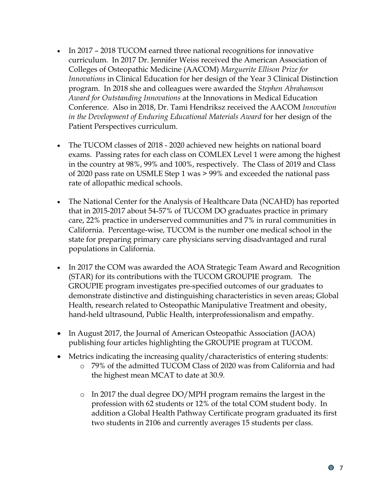- In 2017 2018 TUCOM earned three national recognitions for innovative curriculum. In 2017 Dr. Jennifer Weiss received the American Association of Colleges of Osteopathic Medicine (AACOM) *Marguerite Ellison Prize for Innovations* in Clinical Education for her design of the Year 3 Clinical Distinction program. In 2018 she and colleagues were awarded the *Stephen Abrahamson Award for Outstanding Innovations* at the Innovations in Medical Education Conference. Also in 2018, Dr. Tami Hendriksz received the AACOM *Innovation in the Development of Enduring Educational Materials Award* for her design of the Patient Perspectives curriculum.
- The TUCOM classes of 2018 2020 achieved new heights on national board exams. Passing rates for each class on COMLEX Level 1 were among the highest in the country at 98%, 99% and 100%, respectively. The Class of 2019 and Class of 2020 pass rate on USMLE Step 1 was > 99% and exceeded the national pass rate of allopathic medical schools.
- The National Center for the Analysis of Healthcare Data (NCAHD) has reported that in 2015-2017 about 54-57% of TUCOM DO graduates practice in primary care, 22% practice in underserved communities and 7% in rural communities in California. Percentage-wise, TUCOM is the number one medical school in the state for preparing primary care physicians serving disadvantaged and rural populations in California.
- In 2017 the COM was awarded the AOA Strategic Team Award and Recognition (STAR) for its contributions with the TUCOM GROUPIE program. The GROUPIE program investigates pre-specified outcomes of our graduates to demonstrate distinctive and distinguishing characteristics in seven areas; Global Health, research related to Osteopathic Manipulative Treatment and obesity, hand-held ultrasound, Public Health, interprofessionalism and empathy.
- In August 2017, the Journal of American Osteopathic Association (JAOA) publishing four articles highlighting the GROUPIE program at TUCOM.
- Metrics indicating the increasing quality/characteristics of entering students:
	- o 79% of the admitted TUCOM Class of 2020 was from California and had the highest mean MCAT to date at 30.9.
	- o In 2017 the dual degree DO/MPH program remains the largest in the profession with 62 students or 12% of the total COM student body. In addition a Global Health Pathway Certificate program graduated its first two students in 2106 and currently averages 15 students per class.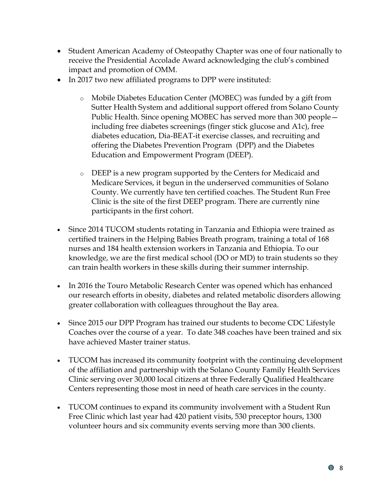- Student American Academy of Osteopathy Chapter was one of four nationally to receive the Presidential Accolade Award acknowledging the club's combined impact and promotion of OMM.
- In 2017 two new affiliated programs to DPP were instituted:
	- o Mobile Diabetes Education Center (MOBEC) was funded by a gift from Sutter Health System and additional support offered from Solano County Public Health. Since opening MOBEC has served more than 300 people including free diabetes screenings (finger stick glucose and A1c), free diabetes education, Dia-BEAT-it exercise classes, and recruiting and offering the Diabetes Prevention Program (DPP) and the Diabetes Education and Empowerment Program (DEEP).
	- o DEEP is a new program supported by the Centers for Medicaid and Medicare Services, it begun in the underserved communities of Solano County. We currently have ten certified coaches. The Student Run Free Clinic is the site of the first DEEP program. There are currently nine participants in the first cohort.
- Since 2014 TUCOM students rotating in Tanzania and Ethiopia were trained as certified trainers in the Helping Babies Breath program, training a total of 168 nurses and 184 health extension workers in Tanzania and Ethiopia. To our knowledge, we are the first medical school (DO or MD) to train students so they can train health workers in these skills during their summer internship.
- In 2016 the Touro Metabolic Research Center was opened which has enhanced our research efforts in obesity, diabetes and related metabolic disorders allowing greater collaboration with colleagues throughout the Bay area.
- Since 2015 our DPP Program has trained our students to become CDC Lifestyle Coaches over the course of a year. To date 348 coaches have been trained and six have achieved Master trainer status.
- TUCOM has increased its community footprint with the continuing development of the affiliation and partnership with the Solano County Family Health Services Clinic serving over 30,000 local citizens at three Federally Qualified Healthcare Centers representing those most in need of heath care services in the county.
- TUCOM continues to expand its community involvement with a Student Run Free Clinic which last year had 420 patient visits, 530 preceptor hours, 1300 volunteer hours and six community events serving more than 300 clients.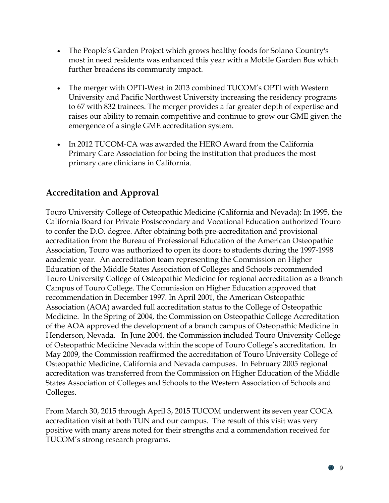- The People's Garden Project which grows healthy foods for Solano Country's most in need residents was enhanced this year with a Mobile Garden Bus which further broadens its community impact.
- The merger with OPTI-West in 2013 combined TUCOM's OPTI with Western University and Pacific Northwest University increasing the residency programs to 67 with 832 trainees. The merger provides a far greater depth of expertise and raises our ability to remain competitive and continue to grow our GME given the emergence of a single GME accreditation system.
- In 2012 TUCOM-CA was awarded the HERO Award from the California Primary Care Association for being the institution that produces the most primary care clinicians in California.

# <span id="page-12-0"></span>**Accreditation and Approval**

Touro University College of Osteopathic Medicine (California and Nevada): In 1995, the California Board for Private Postsecondary and Vocational Education authorized Touro to confer the D.O. degree. After obtaining both pre-accreditation and provisional accreditation from the Bureau of Professional Education of the American Osteopathic Association, Touro was authorized to open its doors to students during the 1997-1998 academic year. An accreditation team representing the Commission on Higher Education of the Middle States Association of Colleges and Schools recommended Touro University College of Osteopathic Medicine for regional accreditation as a Branch Campus of Touro College. The Commission on Higher Education approved that recommendation in December 1997. In April 2001, the American Osteopathic Association (AOA) awarded full accreditation status to the College of Osteopathic Medicine. In the Spring of 2004, the Commission on Osteopathic College Accreditation of the AOA approved the development of a branch campus of Osteopathic Medicine in Henderson, Nevada. In June 2004, the Commission included Touro University College of Osteopathic Medicine Nevada within the scope of Touro College's accreditation. In May 2009, the Commission reaffirmed the accreditation of Touro University College of Osteopathic Medicine, California and Nevada campuses. In February 2005 regional accreditation was transferred from the Commission on Higher Education of the Middle States Association of Colleges and Schools to the Western Association of Schools and Colleges.

From March 30, 2015 through April 3, 2015 TUCOM underwent its seven year COCA accreditation visit at both TUN and our campus. The result of this visit was very positive with many areas noted for their strengths and a commendation received for TUCOM's strong research programs.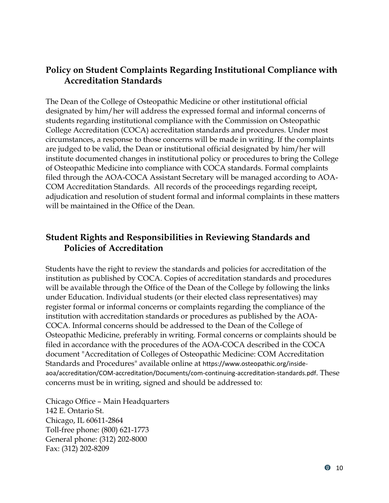## <span id="page-13-0"></span>**Policy on Student Complaints Regarding Institutional Compliance with Accreditation Standards**

The Dean of the College of Osteopathic Medicine or other institutional official designated by him/her will address the expressed formal and informal concerns of students regarding institutional compliance with the Commission on Osteopathic College Accreditation (COCA) accreditation standards and procedures. Under most circumstances, a response to those concerns will be made in writing. If the complaints are judged to be valid, the Dean or institutional official designated by him/her will institute documented changes in institutional policy or procedures to bring the College of Osteopathic Medicine into compliance with COCA standards. Formal complaints filed through the AOA-COCA Assistant Secretary will be managed according to AOA-COM Accreditation Standards. All records of the proceedings regarding receipt, adjudication and resolution of student formal and informal complaints in these matters will be maintained in the Office of the Dean.

## <span id="page-13-1"></span>**Student Rights and Responsibilities in Reviewing Standards and Policies of Accreditation**

Students have the right to review the standards and policies for accreditation of the institution as published by COCA. Copies of accreditation standards and procedures will be available through the Office of the Dean of the College by following the links under Education. Individual students (or their elected class representatives) may register formal or informal concerns or complaints regarding the compliance of the institution with accreditation standards or procedures as published by the AOA-COCA. Informal concerns should be addressed to the Dean of the College of Osteopathic Medicine, preferably in writing. Formal concerns or complaints should be filed in accordance with the procedures of the AOA-COCA described in the COCA document "Accreditation of Colleges of Osteopathic Medicine: COM Accreditation Standards and Procedures" available online at https://www.osteopathic.org/insideaoa/accreditation/COM-accreditation/Documents/com-continuing-accreditation-standards.pdf. These concerns must be in writing, signed and should be addressed to:

Chicago Office – Main Headquarters 142 E. Ontario St. Chicago, IL 60611-2864 Toll-free phone: (800) 621-1773 General phone: (312) 202-8000 Fax: (312) 202-8209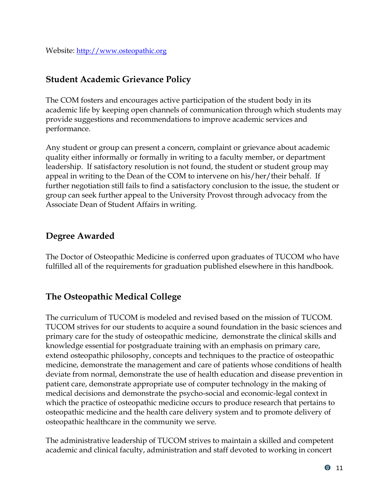## <span id="page-14-0"></span>**Student Academic Grievance Policy**

The COM fosters and encourages active participation of the student body in its academic life by keeping open channels of communication through which students may provide suggestions and recommendations to improve academic services and performance.

Any student or group can present a concern, complaint or grievance about academic quality either informally or formally in writing to a faculty member, or department leadership. If satisfactory resolution is not found, the student or student group may appeal in writing to the Dean of the COM to intervene on his/her/their behalf. If further negotiation still fails to find a satisfactory conclusion to the issue, the student or group can seek further appeal to the University Provost through advocacy from the Associate Dean of Student Affairs in writing.

## <span id="page-14-1"></span>**Degree Awarded**

The Doctor of Osteopathic Medicine is conferred upon graduates of TUCOM who have fulfilled all of the requirements for graduation published elsewhere in this handbook.

# <span id="page-14-2"></span>**The Osteopathic Medical College**

The curriculum of TUCOM is modeled and revised based on the mission of TUCOM. TUCOM strives for our students to acquire a sound foundation in the basic sciences and primary care for the study of osteopathic medicine, demonstrate the clinical skills and knowledge essential for postgraduate training with an emphasis on primary care, extend osteopathic philosophy, concepts and techniques to the practice of osteopathic medicine, demonstrate the management and care of patients whose conditions of health deviate from normal, demonstrate the use of health education and disease prevention in patient care, demonstrate appropriate use of computer technology in the making of medical decisions and demonstrate the psycho-social and economic-legal context in which the practice of osteopathic medicine occurs to produce research that pertains to osteopathic medicine and the health care delivery system and to promote delivery of osteopathic healthcare in the community we serve.

The administrative leadership of TUCOM strives to maintain a skilled and competent academic and clinical faculty, administration and staff devoted to working in concert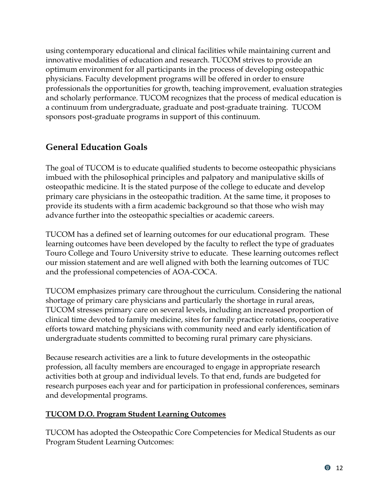using contemporary educational and clinical facilities while maintaining current and innovative modalities of education and research. TUCOM strives to provide an optimum environment for all participants in the process of developing osteopathic physicians. Faculty development programs will be offered in order to ensure professionals the opportunities for growth, teaching improvement, evaluation strategies and scholarly performance. TUCOM recognizes that the process of medical education is a continuum from undergraduate, graduate and post-graduate training. TUCOM sponsors post-graduate programs in support of this continuum.

# <span id="page-15-0"></span>**General Education Goals**

The goal of TUCOM is to educate qualified students to become osteopathic physicians imbued with the philosophical principles and palpatory and manipulative skills of osteopathic medicine. It is the stated purpose of the college to educate and develop primary care physicians in the osteopathic tradition. At the same time, it proposes to provide its students with a firm academic background so that those who wish may advance further into the osteopathic specialties or academic careers.

TUCOM has a defined set of learning outcomes for our educational program. These learning outcomes have been developed by the faculty to reflect the type of graduates Touro College and Touro University strive to educate. These learning outcomes reflect our mission statement and are well aligned with both the learning outcomes of TUC and the professional competencies of AOA-COCA.

TUCOM emphasizes primary care throughout the curriculum. Considering the national shortage of primary care physicians and particularly the shortage in rural areas, TUCOM stresses primary care on several levels, including an increased proportion of clinical time devoted to family medicine, sites for family practice rotations, cooperative efforts toward matching physicians with community need and early identification of undergraduate students committed to becoming rural primary care physicians.

Because research activities are a link to future developments in the osteopathic profession, all faculty members are encouraged to engage in appropriate research activities both at group and individual levels. To that end, funds are budgeted for research purposes each year and for participation in professional conferences, seminars and developmental programs.

#### <span id="page-15-1"></span>**TUCOM D.O. Program Student Learning Outcomes**

TUCOM has adopted the Osteopathic Core Competencies for Medical Students as our Program Student Learning Outcomes: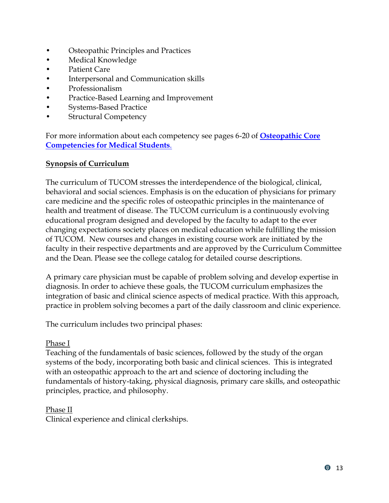- Osteopathic Principles and Practices
- Medical Knowledge
- Patient Care
- Interpersonal and Communication skills
- Professionalism
- Practice-Based Learning and Improvement
- Systems-Based Practice
- Structural Competency

For more information about each competency see pages 6-20 of **[Osteopathic Core](http://www.aacom.org/ome/profdev/occ/occ-for-students)  [Competencies for Medical Students](http://www.aacom.org/ome/profdev/occ/occ-for-students)**.

#### <span id="page-16-0"></span>**Synopsis of Curriculum**

The curriculum of TUCOM stresses the interdependence of the biological, clinical, behavioral and social sciences. Emphasis is on the education of physicians for primary care medicine and the specific roles of osteopathic principles in the maintenance of health and treatment of disease. The TUCOM curriculum is a continuously evolving educational program designed and developed by the faculty to adapt to the ever changing expectations society places on medical education while fulfilling the mission of TUCOM. New courses and changes in existing course work are initiated by the faculty in their respective departments and are approved by the Curriculum Committee and the Dean. Please see the college catalog for detailed course descriptions.

A primary care physician must be capable of problem solving and develop expertise in diagnosis. In order to achieve these goals, the TUCOM curriculum emphasizes the integration of basic and clinical science aspects of medical practice. With this approach, practice in problem solving becomes a part of the daily classroom and clinic experience.

The curriculum includes two principal phases:

#### Phase I

Teaching of the fundamentals of basic sciences, followed by the study of the organ systems of the body, incorporating both basic and clinical sciences. This is integrated with an osteopathic approach to the art and science of doctoring including the fundamentals of history-taking, physical diagnosis, primary care skills, and osteopathic principles, practice, and philosophy.

#### Phase II

Clinical experience and clinical clerkships.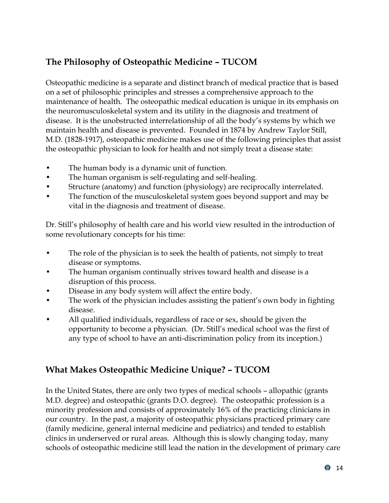# <span id="page-17-0"></span>**The Philosophy of Osteopathic Medicine – TUCOM**

Osteopathic medicine is a separate and distinct branch of medical practice that is based on a set of philosophic principles and stresses a comprehensive approach to the maintenance of health. The osteopathic medical education is unique in its emphasis on the neuromusculoskeletal system and its utility in the diagnosis and treatment of disease. It is the unobstructed interrelationship of all the body's systems by which we maintain health and disease is prevented. Founded in 1874 by Andrew Taylor Still, M.D. (1828-1917), osteopathic medicine makes use of the following principles that assist the osteopathic physician to look for health and not simply treat a disease state:

- The human body is a dynamic unit of function.
- The human organism is self-regulating and self-healing.
- Structure (anatomy) and function (physiology) are reciprocally interrelated.
- The function of the musculoskeletal system goes beyond support and may be vital in the diagnosis and treatment of disease.

Dr. Still's philosophy of health care and his world view resulted in the introduction of some revolutionary concepts for his time:

- The role of the physician is to seek the health of patients, not simply to treat disease or symptoms.
- The human organism continually strives toward health and disease is a disruption of this process.
- Disease in any body system will affect the entire body.
- The work of the physician includes assisting the patient's own body in fighting disease.
- All qualified individuals, regardless of race or sex, should be given the opportunity to become a physician. (Dr. Still's medical school was the first of any type of school to have an anti-discrimination policy from its inception.)

# <span id="page-17-1"></span>**What Makes Osteopathic Medicine Unique? – TUCOM**

In the United States, there are only two types of medical schools – allopathic (grants M.D. degree) and osteopathic (grants D.O. degree). The osteopathic profession is a minority profession and consists of approximately 16% of the practicing clinicians in our country. In the past, a majority of osteopathic physicians practiced primary care (family medicine, general internal medicine and pediatrics) and tended to establish clinics in underserved or rural areas. Although this is slowly changing today, many schools of osteopathic medicine still lead the nation in the development of primary care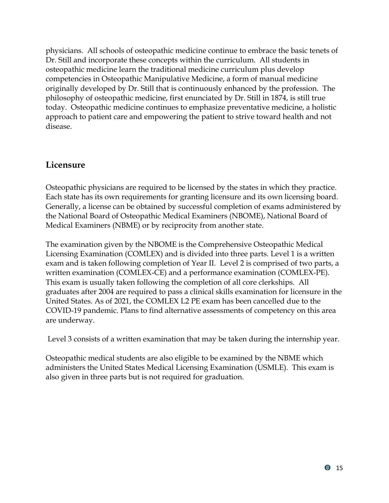physicians. All schools of osteopathic medicine continue to embrace the basic tenets of Dr. Still and incorporate these concepts within the curriculum. All students in osteopathic medicine learn the traditional medicine curriculum plus develop competencies in Osteopathic Manipulative Medicine, a form of manual medicine originally developed by Dr. Still that is continuously enhanced by the profession. The philosophy of osteopathic medicine, first enunciated by Dr. Still in 1874, is still true today. Osteopathic medicine continues to emphasize preventative medicine, a holistic approach to patient care and empowering the patient to strive toward health and not disease.

## <span id="page-18-0"></span>**Licensure**

Osteopathic physicians are required to be licensed by the states in which they practice. Each state has its own requirements for granting licensure and its own licensing board. Generally, a license can be obtained by successful completion of exams administered by the National Board of Osteopathic Medical Examiners (NBOME), National Board of Medical Examiners (NBME) or by reciprocity from another state.

The examination given by the NBOME is the Comprehensive Osteopathic Medical Licensing Examination (COMLEX) and is divided into three parts. Level 1 is a written exam and is taken following completion of Year II. Level 2 is comprised of two parts, a written examination (COMLEX-CE) and a performance examination (COMLEX-PE). This exam is usually taken following the completion of all core clerkships. All graduates after 2004 are required to pass a clinical skills examination for licensure in the United States. As of 2021, the COMLEX L2 PE exam has been cancelled due to the COVID-19 pandemic. Plans to find alternative assessments of competency on this area are underway.

Level 3 consists of a written examination that may be taken during the internship year.

Osteopathic medical students are also eligible to be examined by the NBME which administers the United States Medical Licensing Examination (USMLE). This exam is also given in three parts but is not required for graduation.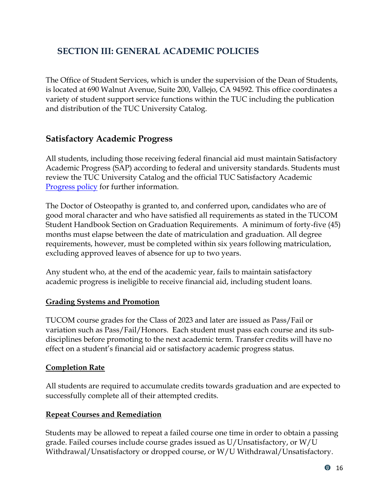# <span id="page-19-0"></span>**SECTION III: GENERAL ACADEMIC POLICIES**

The Office of Student Services, which is under the supervision of the Dean of Students, is located at 690 Walnut Avenue, Suite 200, Vallejo, CA 94592. This office coordinates a variety of student support service functions within the TUC including the publication and distribution of the TUC University Catalog.

## <span id="page-19-1"></span>**Satisfactory Academic Progress**

All students, including those receiving federal financial aid must maintain Satisfactory Academic Progress (SAP) according to federal and university standards. Students must review the TUC University Catalog and the official TUC Satisfactory Academic [Progress policy](https://www.touro.edu/students/policies/satisfactory-academic-progress-policy/) for further information.

The Doctor of Osteopathy is granted to, and conferred upon, candidates who are of good moral character and who have satisfied all requirements as stated in the TUCOM Student Handbook Section on Graduation Requirements. A minimum of forty-five (45) months must elapse between the date of matriculation and graduation. All degree requirements, however, must be completed within six years following matriculation, excluding approved leaves of absence for up to two years.

Any student who, at the end of the academic year, fails to maintain satisfactory academic progress is ineligible to receive financial aid, including student loans.

#### <span id="page-19-2"></span>**Grading Systems and Promotion**

TUCOM course grades for the Class of 2023 and later are issued as Pass/Fail or variation such as Pass/Fail/Honors. Each student must pass each course and its subdisciplines before promoting to the next academic term. Transfer credits will have no effect on a student's financial aid or satisfactory academic progress status.

#### <span id="page-19-3"></span>**Completion Rate**

All students are required to accumulate credits towards graduation and are expected to successfully complete all of their attempted credits.

#### <span id="page-19-4"></span>**Repeat Courses and Remediation**

Students may be allowed to repeat a failed course one time in order to obtain a passing grade. Failed courses include course grades issued as U/Unsatisfactory, or W/U Withdrawal/Unsatisfactory or dropped course, or W/U Withdrawal/Unsatisfactory.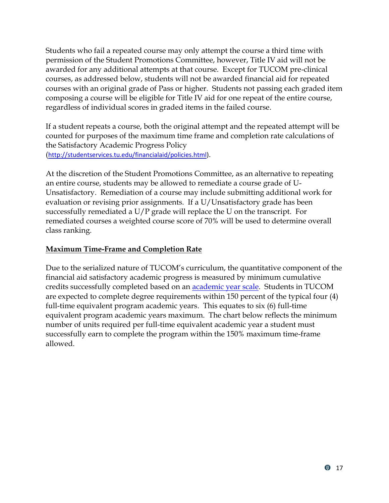Students who fail a repeated course may only attempt the course a third time with permission of the Student Promotions Committee, however, Title IV aid will not be awarded for any additional attempts at that course. Except for TUCOM pre-clinical courses, as addressed below, students will not be awarded financial aid for repeated courses with an original grade of Pass or higher. Students not passing each graded item composing a course will be eligible for Title IV aid for one repeat of the entire course, regardless of individual scores in graded items in the failed course.

If a student repeats a course, both the original attempt and the repeated attempt will be counted for purposes of the maximum time frame and completion rate calculations of the Satisfactory Academic Progress Policy ([http://studentservices.tu.edu/financialaid/policies.html\)](http://studentservices.tu.edu/financialaid/policies.html).

At the discretion of the Student Promotions Committee, as an alternative to repeating an entire course, students may be allowed to remediate a course grade of U-Unsatisfactory. Remediation of a course may include submitting additional work for evaluation or revising prior assignments. If a U/Unsatisfactory grade has been successfully remediated a U/P grade will replace the U on the transcript. For remediated courses a weighted course score of 70% will be used to determine overall class ranking.

#### <span id="page-20-0"></span>**Maximum Time-Frame and Completion Rate**

Due to the serialized nature of TUCOM's curriculum, the quantitative component of the financial aid satisfactory academic progress is measured by minimum cumulative credits successfully completed based on an [academic year scale.](http://studentservices.tu.edu/financialaid/policies.html) Students in TUCOM are expected to complete degree requirements within 150 percent of the typical four (4) full-time equivalent program academic years. This equates to six (6) full-time equivalent program academic years maximum. The chart below reflects the minimum number of units required per full-time equivalent academic year a student must successfully earn to complete the program within the 150% maximum time-frame allowed.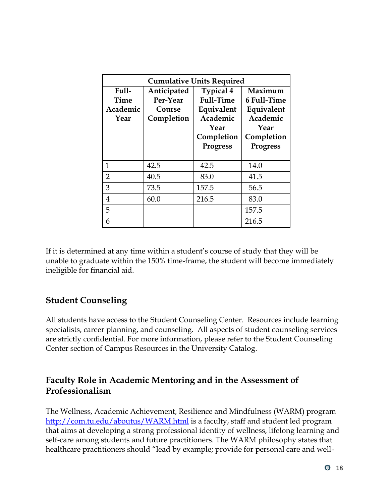| <b>Cumulative Units Required</b>  |                                                 |                                                                                                  |                                                                                           |  |  |
|-----------------------------------|-------------------------------------------------|--------------------------------------------------------------------------------------------------|-------------------------------------------------------------------------------------------|--|--|
| Full-<br>Time<br>Academic<br>Year | Anticipated<br>Per-Year<br>Course<br>Completion | <b>Typical 4</b><br>Full-Time<br>Equivalent<br>Academic<br>Year<br>Completion<br><b>Progress</b> | Maximum<br>6 Full-Time<br>Equivalent<br>Academic<br>Year<br>Completion<br><b>Progress</b> |  |  |
| 1                                 | 42.5                                            | 42.5                                                                                             | 14.0                                                                                      |  |  |
| $\overline{2}$                    | 40.5                                            | 83.0                                                                                             | 41.5                                                                                      |  |  |
| 3                                 | 73.5                                            | 157.5                                                                                            | 56.5                                                                                      |  |  |
| 4                                 | 60.0                                            | 216.5                                                                                            | 83.0                                                                                      |  |  |
| 5                                 |                                                 |                                                                                                  | 157.5                                                                                     |  |  |
| 6                                 |                                                 |                                                                                                  | 216.5                                                                                     |  |  |

If it is determined at any time within a student's course of study that they will be unable to graduate within the 150% time-frame, the student will become immediately ineligible for financial aid.

## <span id="page-21-0"></span>**Student Counseling**

All students have access to the Student Counseling Center. Resources include learning specialists, career planning, and counseling. All aspects of student counseling services are strictly confidential. For more information, please refer to the Student Counseling Center section of Campus Resources in the University Catalog.

## <span id="page-21-1"></span>**Faculty Role in Academic Mentoring and in the Assessment of Professionalism**

The Wellness, Academic Achievement, Resilience and Mindfulness (WARM) program <http://com.tu.edu/aboutus/WARM.html> is a faculty, staff and student led program that aims at developing a strong professional identity of wellness, lifelong learning and self-care among students and future practitioners. The WARM philosophy states that healthcare practitioners should "lead by example; provide for personal care and well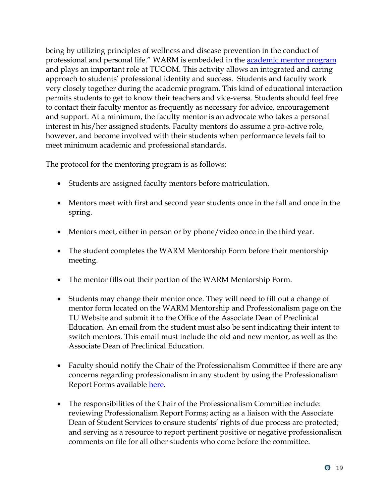being by utilizing principles of wellness and disease prevention in the conduct of professional and personal life." WARM is embedded in the **academic mentor program** and plays an important role at TUCOM. This activity allows an integrated and caring approach to students' professional identity and success. Students and faculty work very closely together during the academic program. This kind of educational interaction permits students to get to know their teachers and vice-versa. Students should feel free to contact their faculty mentor as frequently as necessary for advice, encouragement and support. At a minimum, the faculty mentor is an advocate who takes a personal interest in his/her assigned students. Faculty mentors do assume a pro-active role, however, and become involved with their students when performance levels fail to meet minimum academic and professional standards.

The protocol for the mentoring program is as follows:

- Students are assigned faculty mentors before matriculation.
- Mentors meet with first and second year students once in the fall and once in the spring.
- Mentors meet, either in person or by phone/video once in the third year.
- The student completes the WARM Mentorship Form before their mentorship meeting.
- The mentor fills out their portion of the WARM Mentorship Form.
- Students may change their mentor once. They will need to fill out a change of mentor form located on the WARM Mentorship and Professionalism page on the TU Website and submit it to the Office of the Associate Dean of Preclinical Education. An email from the student must also be sent indicating their intent to switch mentors. This email must include the old and new mentor, as well as the Associate Dean of Preclinical Education.
- Faculty should notify the Chair of the Professionalism Committee if there are any concerns regarding professionalism in any student by using the Professionalism Report Forms available [here.](http://com.tu.edu/studentresources/mentorship.html)
- The responsibilities of the Chair of the Professionalism Committee include: reviewing Professionalism Report Forms; acting as a liaison with the Associate Dean of Student Services to ensure students' rights of due process are protected; and serving as a resource to report pertinent positive or negative professionalism comments on file for all other students who come before the committee.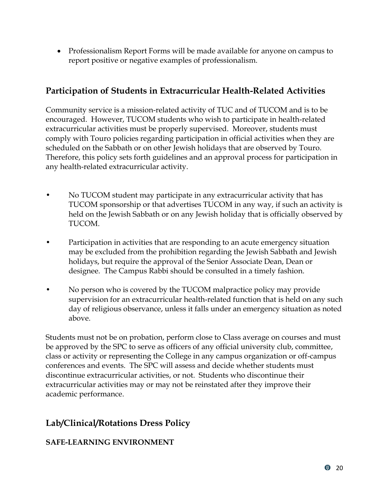• Professionalism Report Forms will be made available for anyone on campus to report positive or negative examples of professionalism.

## <span id="page-23-0"></span>**Participation of Students in Extracurricular Health-Related Activities**

Community service is a mission-related activity of TUC and of TUCOM and is to be encouraged. However, TUCOM students who wish to participate in health-related extracurricular activities must be properly supervised. Moreover, students must comply with Touro policies regarding participation in official activities when they are scheduled on the Sabbath or on other Jewish holidays that are observed by Touro. Therefore, this policy sets forth guidelines and an approval process for participation in any health-related extracurricular activity.

- No TUCOM student may participate in any extracurricular activity that has TUCOM sponsorship or that advertises TUCOM in any way, if such an activity is held on the Jewish Sabbath or on any Jewish holiday that is officially observed by TUCOM.
- Participation in activities that are responding to an acute emergency situation may be excluded from the prohibition regarding the Jewish Sabbath and Jewish holidays, but require the approval of the Senior Associate Dean, Dean or designee. The Campus Rabbi should be consulted in a timely fashion.
- No person who is covered by the TUCOM malpractice policy may provide supervision for an extracurricular health-related function that is held on any such day of religious observance, unless it falls under an emergency situation as noted above.

Students must not be on probation, perform close to Class average on courses and must be approved by the SPC to serve as officers of any official university club, committee, class or activity or representing the College in any campus organization or off-campus conferences and events. The SPC will assess and decide whether students must discontinue extracurricular activities, or not. Students who discontinue their extracurricular activities may or may not be reinstated after they improve their academic performance.

# <span id="page-23-1"></span>**Lab/Clinical/Rotations Dress Policy**

## **SAFE-LEARNING ENVIRONMENT**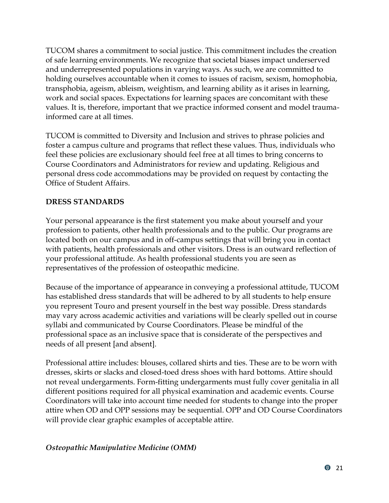TUCOM shares a commitment to social justice. This commitment includes the creation of safe learning environments. We recognize that societal biases impact underserved and underrepresented populations in varying ways. As such, we are committed to holding ourselves accountable when it comes to issues of racism, sexism, homophobia, transphobia, ageism, ableism, weightism, and learning ability as it arises in learning, work and social spaces. Expectations for learning spaces are concomitant with these values. It is, therefore, important that we practice informed consent and model traumainformed care at all times.

TUCOM is committed to Diversity and Inclusion and strives to phrase policies and foster a campus culture and programs that reflect these values. Thus, individuals who feel these policies are exclusionary should feel free at all times to bring concerns to Course Coordinators and Administrators for review and updating. Religious and personal dress code accommodations may be provided on request by contacting the Office of Student Affairs.

#### **DRESS STANDARDS**

Your personal appearance is the first statement you make about yourself and your profession to patients, other health professionals and to the public. Our programs are located both on our campus and in off-campus settings that will bring you in contact with patients, health professionals and other visitors. Dress is an outward reflection of your professional attitude. As health professional students you are seen as representatives of the profession of osteopathic medicine.

Because of the importance of appearance in conveying a professional attitude, TUCOM has established dress standards that will be adhered to by all students to help ensure you represent Touro and present yourself in the best way possible. Dress standards may vary across academic activities and variations will be clearly spelled out in course syllabi and communicated by Course Coordinators. Please be mindful of the professional space as an inclusive space that is considerate of the perspectives and needs of all present [and absent].

Professional attire includes: blouses, collared shirts and ties. These are to be worn with dresses, skirts or slacks and closed-toed dress shoes with hard bottoms. Attire should not reveal undergarments. Form-fitting undergarments must fully cover genitalia in all different positions required for all physical examination and academic events. Course Coordinators will take into account time needed for students to change into the proper attire when OD and OPP sessions may be sequential. OPP and OD Course Coordinators will provide clear graphic examples of acceptable attire.

#### *Osteopathic Manipulative Medicine (OMM)*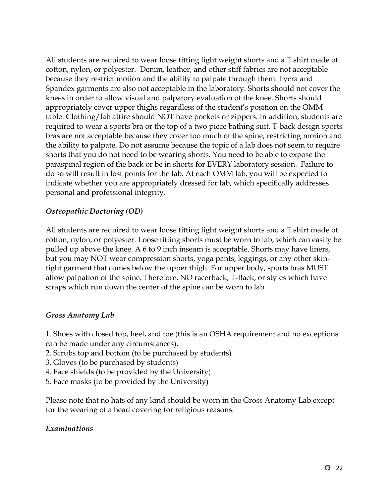All students are required to wear loose fitting light weight shorts and a T shirt made of cotton, nylon, or polyester. Denim, leather, and other stiff fabrics are not acceptable because they restrict motion and the ability to palpate through them. Lycra and Spandex garments are also not acceptable in the laboratory. Shorts should not cover the knees in order to allow visual and palpatory evaluation of the knee. Shorts should appropriately cover upper thighs regardless of the student's position on the OMM table. Clothing/lab attire should NOT have pockets or zippers. In addition, students are required to wear a sports bra or the top of a two piece bathing suit. T-back design sports bras are not acceptable because they cover too much of the spine, restricting motion and the ability to palpate. Do not assume because the topic of a lab does not seem to require shorts that you do not need to be wearing shorts. You need to be able to expose the paraspinal region of the back or be in shorts for EVERY laboratory session. Failure to do so will result in lost points for the lab. At each OMM lab, you will be expected to indicate whether you are appropriately dressed for lab, which specifically addresses personal and professional integrity.

#### *Osteopathic Doctoring (OD)*

All students are required to wear loose fitting light weight shorts and a T shirt made of cotton, nylon, or polyester. Loose fitting shorts must be worn to lab, which can easily be pulled up above the knee. A 6 to 9 inch inseam is acceptable. Shorts may have liners, but you may NOT wear compression shorts, yoga pants, leggings, or any other skintight garment that comes below the upper thigh. For upper body, sports bras MUST allow palpation of the spine. Therefore, NO racerback, T-Back, or styles which have straps which run down the center of the spine can be worn to lab.

#### *Gross Anatomy Lab*

1. Shoes with closed top, heel, and toe (this is an OSHA requirement and no exceptions can be made under any circumstances).

- 2. Scrubs top and bottom (to be purchased by students)
- 3. Gloves (to be purchased by students)
- 4. Face shields (to be provided by the University)
- 5. Face masks (to be provided by the University)

Please note that no hats of any kind should be worn in the Gross Anatomy Lab except for the wearing of a head covering for religious reasons.

#### *Examinations*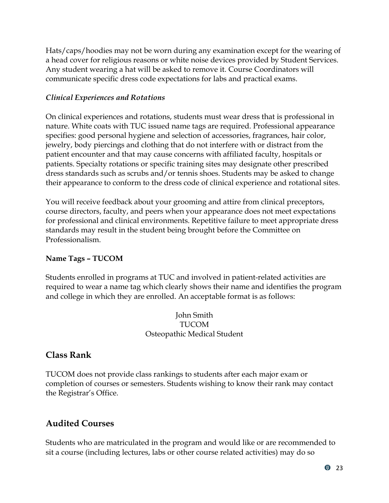Hats/caps/hoodies may not be worn during any examination except for the wearing of a head cover for religious reasons or white noise devices provided by Student Services. Any student wearing a hat will be asked to remove it. Course Coordinators will communicate specific dress code expectations for labs and practical exams.

#### *Clinical Experiences and Rotations*

On clinical experiences and rotations, students must wear dress that is professional in nature. White coats with TUC issued name tags are required. Professional appearance specifies: good personal hygiene and selection of accessories, fragrances, hair color, jewelry, body piercings and clothing that do not interfere with or distract from the patient encounter and that may cause concerns with affiliated faculty, hospitals or patients. Specialty rotations or specific training sites may designate other prescribed dress standards such as scrubs and/or tennis shoes. Students may be asked to change their appearance to conform to the dress code of clinical experience and rotational sites.

You will receive feedback about your grooming and attire from clinical preceptors, course directors, faculty, and peers when your appearance does not meet expectations for professional and clinical environments. Repetitive failure to meet appropriate dress standards may result in the student being brought before the Committee on Professionalism.

#### **Name Tags – TUCOM**

Students enrolled in programs at TUC and involved in patient-related activities are required to wear a name tag which clearly shows their name and identifies the program and college in which they are enrolled. An acceptable format is as follows:

> John Smith TUCOM Osteopathic Medical Student

## <span id="page-26-0"></span>**Class Rank**

TUCOM does not provide class rankings to students after each major exam or completion of courses or semesters. Students wishing to know their rank may contact the Registrar's Office.

# <span id="page-26-1"></span>**Audited Courses**

Students who are matriculated in the program and would like or are recommended to sit a course (including lectures, labs or other course related activities) may do so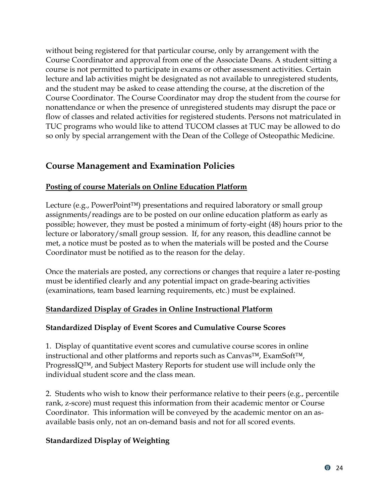without being registered for that particular course, only by arrangement with the Course Coordinator and approval from one of the Associate Deans. A student sitting a course is not permitted to participate in exams or other assessment activities. Certain lecture and lab activities might be designated as not available to unregistered students, and the student may be asked to cease attending the course, at the discretion of the Course Coordinator. The Course Coordinator may drop the student from the course for nonattendance or when the presence of unregistered students may disrupt the pace or flow of classes and related activities for registered students. Persons not matriculated in TUC programs who would like to attend TUCOM classes at TUC may be allowed to do so only by special arrangement with the Dean of the College of Osteopathic Medicine.

## <span id="page-27-0"></span>**Course Management and Examination Policies**

#### <span id="page-27-1"></span>**Posting of course Materials on Online Education Platform**

Lecture (e.g., PowerPoint™) presentations and required laboratory or small group assignments/readings are to be posted on our online education platform as early as possible; however, they must be posted a minimum of forty-eight (48) hours prior to the lecture or laboratory/small group session. If, for any reason, this deadline cannot be met, a notice must be posted as to when the materials will be posted and the Course Coordinator must be notified as to the reason for the delay.

Once the materials are posted, any corrections or changes that require a later re-posting must be identified clearly and any potential impact on grade-bearing activities (examinations, team based learning requirements, etc.) must be explained.

#### <span id="page-27-2"></span>**Standardized Display of Grades in Online Instructional Platform**

#### **Standardized Display of Event Scores and Cumulative Course Scores**

1. Display of quantitative event scores and cumulative course scores in online instructional and other platforms and reports such as Canvas™, ExamSoft™, ProgressIQ™, and Subject Mastery Reports for student use will include only the individual student score and the class mean.

2. Students who wish to know their performance relative to their peers (e.g., percentile rank, z-score) must request this information from their academic mentor or Course Coordinator. This information will be conveyed by the academic mentor on an asavailable basis only, not an on-demand basis and not for all scored events.

#### **Standardized Display of Weighting**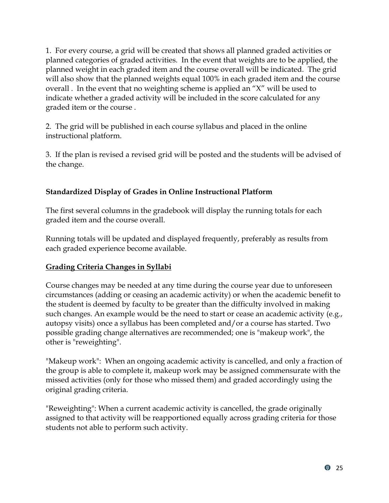1. For every course, a grid will be created that shows all planned graded activities or planned categories of graded activities. In the event that weights are to be applied, the planned weight in each graded item and the course overall will be indicated. The grid will also show that the planned weights equal 100% in each graded item and the course overall . In the event that no weighting scheme is applied an "X" will be used to indicate whether a graded activity will be included in the score calculated for any graded item or the course .

2. The grid will be published in each course syllabus and placed in the online instructional platform.

3. If the plan is revised a revised grid will be posted and the students will be advised of the change.

## **Standardized Display of Grades in Online Instructional Platform**

The first several columns in the gradebook will display the running totals for each graded item and the course overall.

Running totals will be updated and displayed frequently, preferably as results from each graded experience become available.

## <span id="page-28-0"></span>**Grading Criteria Changes in Syllabi**

Course changes may be needed at any time during the course year due to unforeseen circumstances (adding or ceasing an academic activity) or when the academic benefit to the student is deemed by faculty to be greater than the difficulty involved in making such changes. An example would be the need to start or cease an academic activity (e.g., autopsy visits) once a syllabus has been completed and/or a course has started. Two possible grading change alternatives are recommended; one is "makeup work", the other is "reweighting".

"Makeup work": When an ongoing academic activity is cancelled, and only a fraction of the group is able to complete it, makeup work may be assigned commensurate with the missed activities (only for those who missed them) and graded accordingly using the original grading criteria.

"Reweighting": When a current academic activity is cancelled, the grade originally assigned to that activity will be reapportioned equally across grading criteria for those students not able to perform such activity.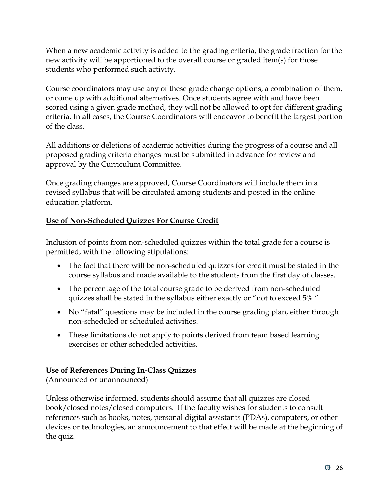When a new academic activity is added to the grading criteria, the grade fraction for the new activity will be apportioned to the overall course or graded item(s) for those students who performed such activity.

Course coordinators may use any of these grade change options, a combination of them, or come up with additional alternatives. Once students agree with and have been scored using a given grade method, they will not be allowed to opt for different grading criteria. In all cases, the Course Coordinators will endeavor to benefit the largest portion of the class.

All additions or deletions of academic activities during the progress of a course and all proposed grading criteria changes must be submitted in advance for review and approval by the Curriculum Committee.

Once grading changes are approved, Course Coordinators will include them in a revised syllabus that will be circulated among students and posted in the online education platform.

## <span id="page-29-0"></span>**Use of Non-Scheduled Quizzes For Course Credit**

Inclusion of points from non-scheduled quizzes within the total grade for a course is permitted, with the following stipulations:

- The fact that there will be non-scheduled quizzes for credit must be stated in the course syllabus and made available to the students from the first day of classes.
- The percentage of the total course grade to be derived from non-scheduled quizzes shall be stated in the syllabus either exactly or "not to exceed 5%."
- No "fatal" questions may be included in the course grading plan, either through non-scheduled or scheduled activities.
- These limitations do not apply to points derived from team based learning exercises or other scheduled activities.

## <span id="page-29-1"></span>**Use of References During In-Class Quizzes**

(Announced or unannounced)

Unless otherwise informed, students should assume that all quizzes are closed book/closed notes/closed computers. If the faculty wishes for students to consult references such as books, notes, personal digital assistants (PDAs), computers, or other devices or technologies, an announcement to that effect will be made at the beginning of the quiz.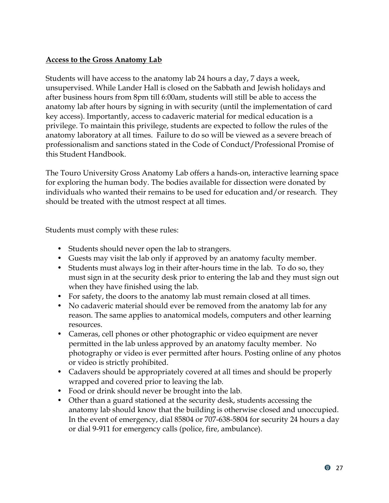#### <span id="page-30-0"></span>**Access to the Gross Anatomy Lab**

Students will have access to the anatomy lab 24 hours a day, 7 days a week, unsupervised. While Lander Hall is closed on the Sabbath and Jewish holidays and after business hours from 8pm till 6:00am, students will still be able to access the anatomy lab after hours by signing in with security (until the implementation of card key access). Importantly, access to cadaveric material for medical education is a privilege. To maintain this privilege, students are expected to follow the rules of the anatomy laboratory at all times. Failure to do so will be viewed as a severe breach of professionalism and sanctions stated in the Code of Conduct/Professional Promise of this Student Handbook.

The Touro University Gross Anatomy Lab offers a hands-on, interactive learning space for exploring the human body. The bodies available for dissection were donated by individuals who wanted their remains to be used for education and/or research. They should be treated with the utmost respect at all times.

Students must comply with these rules:

- Students should never open the lab to strangers.
- Guests may visit the lab only if approved by an anatomy faculty member.
- Students must always log in their after-hours time in the lab. To do so, they must sign in at the security desk prior to entering the lab and they must sign out when they have finished using the lab.
- For safety, the doors to the anatomy lab must remain closed at all times.
- No cadaveric material should ever be removed from the anatomy lab for any reason. The same applies to anatomical models, computers and other learning resources.
- Cameras, cell phones or other photographic or video equipment are never permitted in the lab unless approved by an anatomy faculty member. No photography or video is ever permitted after hours. Posting online of any photos or video is strictly prohibited.
- Cadavers should be appropriately covered at all times and should be properly wrapped and covered prior to leaving the lab.
- Food or drink should never be brought into the lab.
- Other than a guard stationed at the security desk, students accessing the anatomy lab should know that the building is otherwise closed and unoccupied. In the event of emergency, dial 85804 or 707-638-5804 for security 24 hours a day or dial 9-911 for emergency calls (police, fire, ambulance).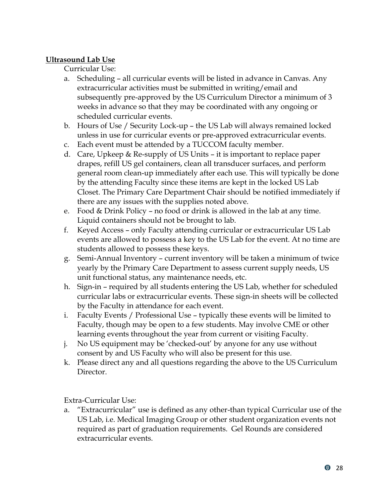#### <span id="page-31-0"></span>**Ultrasound Lab Use**

Curricular Use:

- a. Scheduling all curricular events will be listed in advance in Canvas. Any extracurricular activities must be submitted in writing/email and subsequently pre-approved by the US Curriculum Director a minimum of 3 weeks in advance so that they may be coordinated with any ongoing or scheduled curricular events.
- b. Hours of Use / Security Lock-up the US Lab will always remained locked unless in use for curricular events or pre-approved extracurricular events.
- c. Each event must be attended by a TUCCOM faculty member.
- d. Care, Upkeep & Re-supply of US Units it is important to replace paper drapes, refill US gel containers, clean all transducer surfaces, and perform general room clean-up immediately after each use. This will typically be done by the attending Faculty since these items are kept in the locked US Lab Closet. The Primary Care Department Chair should be notified immediately if there are any issues with the supplies noted above.
- e. Food & Drink Policy no food or drink is allowed in the lab at any time. Liquid containers should not be brought to lab.
- f. Keyed Access only Faculty attending curricular or extracurricular US Lab events are allowed to possess a key to the US Lab for the event. At no time are students allowed to possess these keys.
- g. Semi-Annual Inventory current inventory will be taken a minimum of twice yearly by the Primary Care Department to assess current supply needs, US unit functional status, any maintenance needs, etc.
- h. Sign-in required by all students entering the US Lab, whether for scheduled curricular labs or extracurricular events. These sign-in sheets will be collected by the Faculty in attendance for each event.
- i. Faculty Events / Professional Use typically these events will be limited to Faculty, though may be open to a few students. May involve CME or other learning events throughout the year from current or visiting Faculty.
- j. No US equipment may be 'checked-out' by anyone for any use without consent by and US Faculty who will also be present for this use.
- k. Please direct any and all questions regarding the above to the US Curriculum Director.

Extra-Curricular Use:

a. "Extracurricular" use is defined as any other-than typical Curricular use of the US Lab, i.e. Medical Imaging Group or other student organization events not required as part of graduation requirements. Gel Rounds are considered extracurricular events.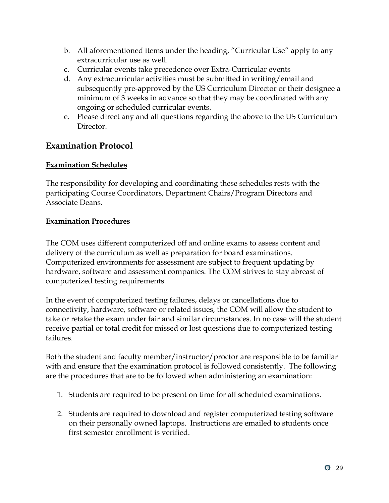- b. All aforementioned items under the heading, "Curricular Use" apply to any extracurricular use as well.
- c. Curricular events take precedence over Extra-Curricular events
- d. Any extracurricular activities must be submitted in writing/email and subsequently pre-approved by the US Curriculum Director or their designee a minimum of 3 weeks in advance so that they may be coordinated with any ongoing or scheduled curricular events.
- e. Please direct any and all questions regarding the above to the US Curriculum **Director**

## <span id="page-32-0"></span>**Examination Protocol**

#### <span id="page-32-1"></span>**Examination Schedules**

The responsibility for developing and coordinating these schedules rests with the participating Course Coordinators, Department Chairs/Program Directors and Associate Deans.

#### <span id="page-32-2"></span>**Examination Procedures**

The COM uses different computerized off and online exams to assess content and delivery of the curriculum as well as preparation for board examinations. Computerized environments for assessment are subject to frequent updating by hardware, software and assessment companies. The COM strives to stay abreast of computerized testing requirements.

In the event of computerized testing failures, delays or cancellations due to connectivity, hardware, software or related issues, the COM will allow the student to take or retake the exam under fair and similar circumstances. In no case will the student receive partial or total credit for missed or lost questions due to computerized testing failures.

Both the student and faculty member/instructor/proctor are responsible to be familiar with and ensure that the examination protocol is followed consistently. The following are the procedures that are to be followed when administering an examination:

- 1. Students are required to be present on time for all scheduled examinations.
- 2. Students are required to download and register computerized testing software on their personally owned laptops. Instructions are emailed to students once first semester enrollment is verified.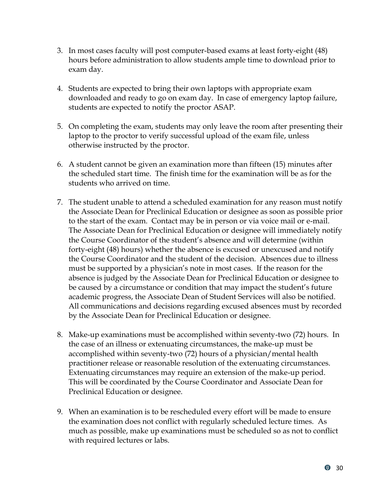- 3. In most cases faculty will post computer-based exams at least forty-eight (48) hours before administration to allow students ample time to download prior to exam day.
- 4. Students are expected to bring their own laptops with appropriate exam downloaded and ready to go on exam day. In case of emergency laptop failure, students are expected to notify the proctor ASAP.
- 5. On completing the exam, students may only leave the room after presenting their laptop to the proctor to verify successful upload of the exam file, unless otherwise instructed by the proctor.
- 6. A student cannot be given an examination more than fifteen (15) minutes after the scheduled start time. The finish time for the examination will be as for the students who arrived on time.
- 7. The student unable to attend a scheduled examination for any reason must notify the Associate Dean for Preclinical Education or designee as soon as possible prior to the start of the exam. Contact may be in person or via voice mail or e-mail. The Associate Dean for Preclinical Education or designee will immediately notify the Course Coordinator of the student's absence and will determine (within forty-eight (48) hours) whether the absence is excused or unexcused and notify the Course Coordinator and the student of the decision. Absences due to illness must be supported by a physician's note in most cases. If the reason for the absence is judged by the Associate Dean for Preclinical Education or designee to be caused by a circumstance or condition that may impact the student's future academic progress, the Associate Dean of Student Services will also be notified. All communications and decisions regarding excused absences must by recorded by the Associate Dean for Preclinical Education or designee.
- 8. Make-up examinations must be accomplished within seventy-two (72) hours. In the case of an illness or extenuating circumstances, the make-up must be accomplished within seventy-two (72) hours of a physician/mental health practitioner release or reasonable resolution of the extenuating circumstances. Extenuating circumstances may require an extension of the make-up period. This will be coordinated by the Course Coordinator and Associate Dean for Preclinical Education or designee.
- 9. When an examination is to be rescheduled every effort will be made to ensure the examination does not conflict with regularly scheduled lecture times. As much as possible, make up examinations must be scheduled so as not to conflict with required lectures or labs.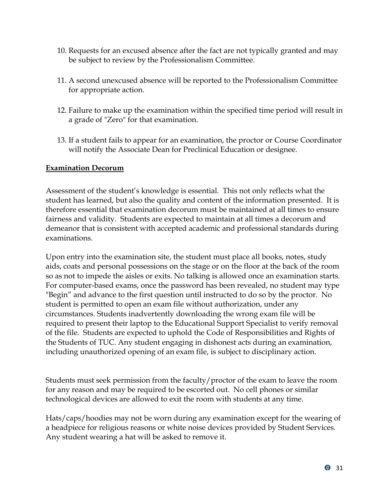- 10. Requests for an excused absence after the fact are not typically granted and may be subject to review by the Professionalism Committee.
- 11. A second unexcused absence will be reported to the Professionalism Committee for appropriate action.
- 12. Failure to make up the examination within the specified time period will result in a grade of "Zero" for that examination.
- 13. If a student fails to appear for an examination, the proctor or Course Coordinator will notify the Associate Dean for Preclinical Education or designee.

#### <span id="page-34-0"></span>**Examination Decorum**

Assessment of the student's knowledge is essential. This not only reflects what the student has learned, but also the quality and content of the information presented. It is therefore essential that examination decorum must be maintained at all times to ensure fairness and validity. Students are expected to maintain at all times a decorum and demeanor that is consistent with accepted academic and professional standards during examinations.

Upon entry into the examination site, the student must place all books, notes, study aids, coats and personal possessions on the stage or on the floor at the back of the room so as not to impede the aisles or exits. No talking is allowed once an examination starts. For computer-based exams, once the password has been revealed, no student may type "Begin" and advance to the first question until instructed to do so by the proctor. No student is permitted to open an exam file without authorization, under any circumstances. Students inadvertently downloading the wrong exam file will be required to present their laptop to the Educational Support Specialist to verify removal of the file. Students are expected to uphold the Code of Responsibilities and Rights of the Students of TUC. Any student engaging in dishonest acts during an examination, including unauthorized opening of an exam file, is subject to disciplinary action.

Students must seek permission from the faculty/proctor of the exam to leave the room for any reason and may be required to be escorted out. No cell phones or similar technological devices are allowed to exit the room with students at any time.

Hats/caps/hoodies may not be worn during any examination except for the wearing of a headpiece for religious reasons or white noise devices provided by Student Services. Any student wearing a hat will be asked to remove it.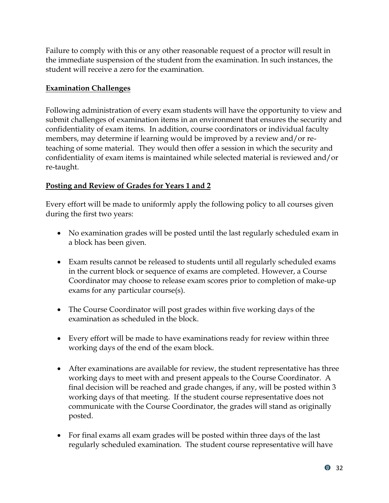Failure to comply with this or any other reasonable request of a proctor will result in the immediate suspension of the student from the examination. In such instances, the student will receive a zero for the examination.

#### <span id="page-35-0"></span>**Examination Challenges**

Following administration of every exam students will have the opportunity to view and submit challenges of examination items in an environment that ensures the security and confidentiality of exam items. In addition, course coordinators or individual faculty members, may determine if learning would be improved by a review and/or reteaching of some material. They would then offer a session in which the security and confidentiality of exam items is maintained while selected material is reviewed and/or re-taught.

#### <span id="page-35-1"></span>**Posting and Review of Grades for Years 1 and 2**

Every effort will be made to uniformly apply the following policy to all courses given during the first two years:

- No examination grades will be posted until the last regularly scheduled exam in a block has been given.
- Exam results cannot be released to students until all regularly scheduled exams in the current block or sequence of exams are completed. However, a Course Coordinator may choose to release exam scores prior to completion of make-up exams for any particular course(s).
- The Course Coordinator will post grades within five working days of the examination as scheduled in the block.
- Every effort will be made to have examinations ready for review within three working days of the end of the exam block.
- After examinations are available for review, the student representative has three working days to meet with and present appeals to the Course Coordinator. A final decision will be reached and grade changes, if any, will be posted within 3 working days of that meeting. If the student course representative does not communicate with the Course Coordinator, the grades will stand as originally posted.
- For final exams all exam grades will be posted within three days of the last regularly scheduled examination. The student course representative will have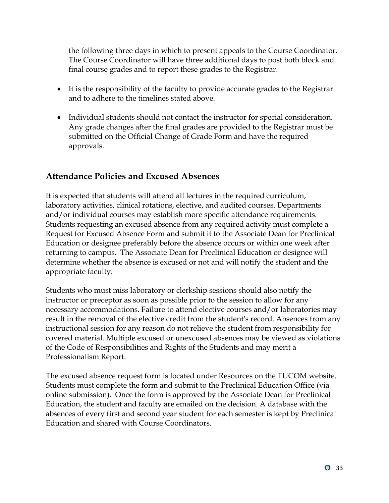the following three days in which to present appeals to the Course Coordinator. The Course Coordinator will have three additional days to post both block and final course grades and to report these grades to the Registrar.

- It is the responsibility of the faculty to provide accurate grades to the Registrar and to adhere to the timelines stated above.
- Individual students should not contact the instructor for special consideration. Any grade changes after the final grades are provided to the Registrar must be submitted on the Official Change of Grade Form and have the required approvals.

## <span id="page-36-0"></span>**Attendance Policies and Excused Absences**

It is expected that students will attend all lectures in the required curriculum, laboratory activities, clinical rotations, elective, and audited courses. Departments and/or individual courses may establish more specific attendance requirements. Students requesting an excused absence from any required activity must complete a Request for Excused Absence Form and submit it to the Associate Dean for Preclinical Education or designee preferably before the absence occurs or within one week after returning to campus. The Associate Dean for Preclinical Education or designee will determine whether the absence is excused or not and will notify the student and the appropriate faculty.

Students who must miss laboratory or clerkship sessions should also notify the instructor or preceptor as soon as possible prior to the session to allow for any necessary accommodations. Failure to attend elective courses and/or laboratories may result in the removal of the elective credit from the student's record. Absences from any instructional session for any reason do not relieve the student from responsibility for covered material. Multiple excused or unexcused absences may be viewed as violations of the Code of Responsibilities and Rights of the Students and may merit a Professionalism Report.

The excused absence request form is located under Resources on the TUCOM website. Students must complete the form and submit to the Preclinical Education Office (via online submission). Once the form is approved by the Associate Dean for Preclinical Education, the student and faculty are emailed on the decision. A database with the absences of every first and second year student for each semester is kept by Preclinical Education and shared with Course Coordinators.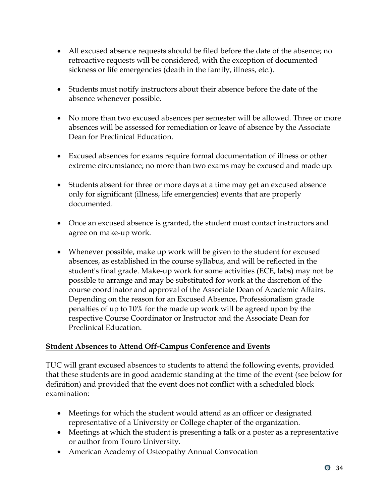- All excused absence requests should be filed before the date of the absence; no retroactive requests will be considered, with the exception of documented sickness or life emergencies (death in the family, illness, etc.).
- Students must notify instructors about their absence before the date of the absence whenever possible.
- No more than two excused absences per semester will be allowed. Three or more absences will be assessed for remediation or leave of absence by the Associate Dean for Preclinical Education.
- Excused absences for exams require formal documentation of illness or other extreme circumstance; no more than two exams may be excused and made up.
- Students absent for three or more days at a time may get an excused absence only for significant (illness, life emergencies) events that are properly documented.
- Once an excused absence is granted, the student must contact instructors and agree on make-up work.
- Whenever possible, make up work will be given to the student for excused absences, as established in the course syllabus, and will be reflected in the student's final grade. Make-up work for some activities (ECE, labs) may not be possible to arrange and may be substituted for work at the discretion of the course coordinator and approval of the Associate Dean of Academic Affairs. Depending on the reason for an Excused Absence, Professionalism grade penalties of up to 10% for the made up work will be agreed upon by the respective Course Coordinator or Instructor and the Associate Dean for Preclinical Education.

#### <span id="page-37-0"></span>**Student Absences to Attend Off-Campus Conference and Events**

TUC will grant excused absences to students to attend the following events, provided that these students are in good academic standing at the time of the event (see below for definition) and provided that the event does not conflict with a scheduled block examination:

- Meetings for which the student would attend as an officer or designated representative of a University or College chapter of the organization.
- Meetings at which the student is presenting a talk or a poster as a representative or author from Touro University.
- American Academy of Osteopathy Annual Convocation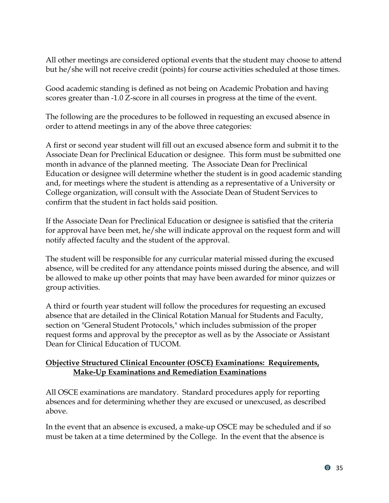All other meetings are considered optional events that the student may choose to attend but he/she will not receive credit (points) for course activities scheduled at those times.

Good academic standing is defined as not being on Academic Probation and having scores greater than -1.0 Z-score in all courses in progress at the time of the event.

The following are the procedures to be followed in requesting an excused absence in order to attend meetings in any of the above three categories:

A first or second year student will fill out an excused absence form and submit it to the Associate Dean for Preclinical Education or designee. This form must be submitted one month in advance of the planned meeting. The Associate Dean for Preclinical Education or designee will determine whether the student is in good academic standing and, for meetings where the student is attending as a representative of a University or College organization, will consult with the Associate Dean of Student Services to confirm that the student in fact holds said position.

If the Associate Dean for Preclinical Education or designee is satisfied that the criteria for approval have been met, he/she will indicate approval on the request form and will notify affected faculty and the student of the approval.

The student will be responsible for any curricular material missed during the excused absence, will be credited for any attendance points missed during the absence, and will be allowed to make up other points that may have been awarded for minor quizzes or group activities.

A third or fourth year student will follow the procedures for requesting an excused absence that are detailed in the Clinical Rotation Manual for Students and Faculty, section on "General Student Protocols," which includes submission of the proper request forms and approval by the preceptor as well as by the Associate or Assistant Dean for Clinical Education of TUCOM.

#### <span id="page-38-0"></span>**Objective Structured Clinical Encounter (OSCE) Examinations: Requirements, Make-Up Examinations and Remediation Examinations**

All OSCE examinations are mandatory. Standard procedures apply for reporting absences and for determining whether they are excused or unexcused, as described above.

In the event that an absence is excused, a make-up OSCE may be scheduled and if so must be taken at a time determined by the College. In the event that the absence is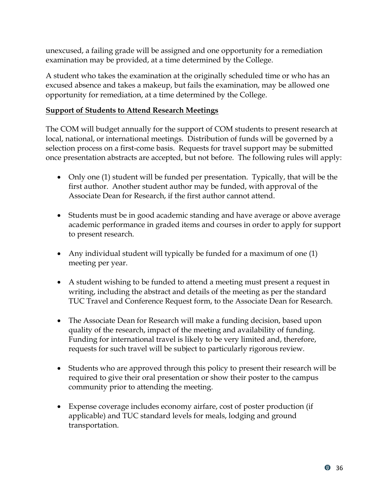unexcused, a failing grade will be assigned and one opportunity for a remediation examination may be provided, at a time determined by the College.

A student who takes the examination at the originally scheduled time or who has an excused absence and takes a makeup, but fails the examination, may be allowed one opportunity for remediation, at a time determined by the College.

#### <span id="page-39-0"></span>**Support of Students to Attend Research Meetings**

The COM will budget annually for the support of COM students to present research at local, national, or international meetings. Distribution of funds will be governed by a selection process on a first-come basis. Requests for travel support may be submitted once presentation abstracts are accepted, but not before. The following rules will apply:

- Only one (1) student will be funded per presentation. Typically, that will be the first author. Another student author may be funded, with approval of the Associate Dean for Research, if the first author cannot attend.
- Students must be in good academic standing and have average or above average academic performance in graded items and courses in order to apply for support to present research.
- Any individual student will typically be funded for a maximum of one (1) meeting per year.
- A student wishing to be funded to attend a meeting must present a request in writing, including the abstract and details of the meeting as per the standard TUC Travel and Conference Request form, to the Associate Dean for Research.
- The Associate Dean for Research will make a funding decision, based upon quality of the research, impact of the meeting and availability of funding. Funding for international travel is likely to be very limited and, therefore, requests for such travel will be subject to particularly rigorous review.
- Students who are approved through this policy to present their research will be required to give their oral presentation or show their poster to the campus community prior to attending the meeting.
- Expense coverage includes economy airfare, cost of poster production (if applicable) and TUC standard levels for meals, lodging and ground transportation.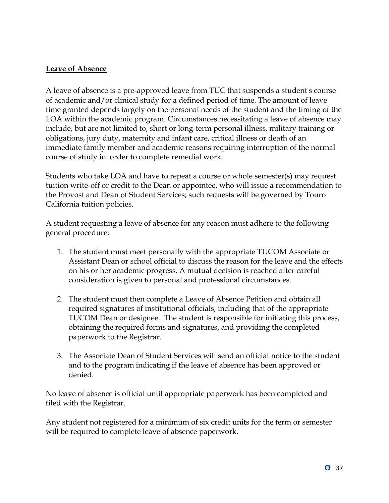#### <span id="page-40-0"></span>**Leave of Absence**

A leave of absence is a pre-approved leave from TUC that suspends a student's course of academic and/or clinical study for a defined period of time. The amount of leave time granted depends largely on the personal needs of the student and the timing of the LOA within the academic program. Circumstances necessitating a leave of absence may include, but are not limited to, short or long-term personal illness, military training or obligations, jury duty, maternity and infant care, critical illness or death of an immediate family member and academic reasons requiring interruption of the normal course of study in order to complete remedial work.

Students who take LOA and have to repeat a course or whole semester(s) may request tuition write-off or credit to the Dean or appointee, who will issue a recommendation to the Provost and Dean of Student Services; such requests will be governed by Touro California tuition policies.

A student requesting a leave of absence for any reason must adhere to the following general procedure:

- 1. The student must meet personally with the appropriate TUCOM Associate or Assistant Dean or school official to discuss the reason for the leave and the effects on his or her academic progress. A mutual decision is reached after careful consideration is given to personal and professional circumstances.
- 2. The student must then complete a Leave of Absence Petition and obtain all required signatures of institutional officials, including that of the appropriate TUCOM Dean or designee. The student is responsible for initiating this process, obtaining the required forms and signatures, and providing the completed paperwork to the Registrar.
- 3. The Associate Dean of Student Services will send an official notice to the student and to the program indicating if the leave of absence has been approved or denied.

No leave of absence is official until appropriate paperwork has been completed and filed with the Registrar.

Any student not registered for a minimum of six credit units for the term or semester will be required to complete leave of absence paperwork.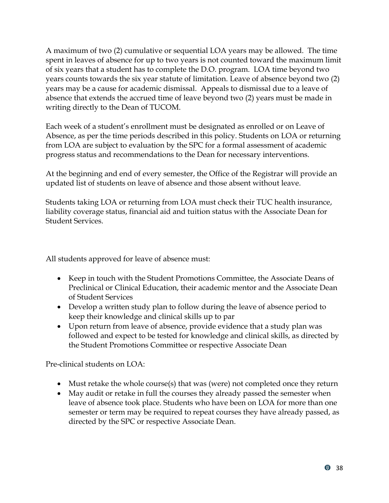A maximum of two (2) cumulative or sequential LOA years may be allowed. The time spent in leaves of absence for up to two years is not counted toward the maximum limit of six years that a student has to complete the D.O. program. LOA time beyond two years counts towards the six year statute of limitation. Leave of absence beyond two (2) years may be a cause for academic dismissal. Appeals to dismissal due to a leave of absence that extends the accrued time of leave beyond two (2) years must be made in writing directly to the Dean of TUCOM.

Each week of a student's enrollment must be designated as enrolled or on Leave of Absence, as per the time periods described in this policy. Students on LOA or returning from LOA are subject to evaluation by the SPC for a formal assessment of academic progress status and recommendations to the Dean for necessary interventions.

At the beginning and end of every semester, the Office of the Registrar will provide an updated list of students on leave of absence and those absent without leave.

Students taking LOA or returning from LOA must check their TUC health insurance, liability coverage status, financial aid and tuition status with the Associate Dean for Student Services.

All students approved for leave of absence must:

- Keep in touch with the Student Promotions Committee, the Associate Deans of Preclinical or Clinical Education, their academic mentor and the Associate Dean of Student Services
- Develop a written study plan to follow during the leave of absence period to keep their knowledge and clinical skills up to par
- Upon return from leave of absence, provide evidence that a study plan was followed and expect to be tested for knowledge and clinical skills, as directed by the Student Promotions Committee or respective Associate Dean

Pre-clinical students on LOA:

- Must retake the whole course(s) that was (were) not completed once they return
- May audit or retake in full the courses they already passed the semester when leave of absence took place. Students who have been on LOA for more than one semester or term may be required to repeat courses they have already passed, as directed by the SPC or respective Associate Dean.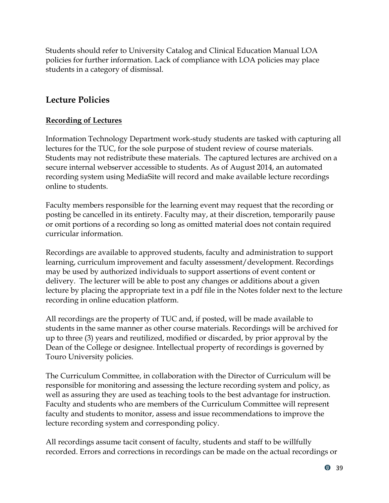Students should refer to University Catalog and Clinical Education Manual LOA policies for further information. Lack of compliance with LOA policies may place students in a category of dismissal.

## <span id="page-42-0"></span>**Lecture Policies**

#### <span id="page-42-1"></span>**Recording of Lectures**

Information Technology Department work-study students are tasked with capturing all lectures for the TUC, for the sole purpose of student review of course materials. Students may not redistribute these materials. The captured lectures are archived on a secure internal webserver accessible to students. As of August 2014, an automated recording system using MediaSite will record and make available lecture recordings online to students.

Faculty members responsible for the learning event may request that the recording or posting be cancelled in its entirety. Faculty may, at their discretion, temporarily pause or omit portions of a recording so long as omitted material does not contain required curricular information.

Recordings are available to approved students, faculty and administration to support learning, curriculum improvement and faculty assessment/development. Recordings may be used by authorized individuals to support assertions of event content or delivery. The lecturer will be able to post any changes or additions about a given lecture by placing the appropriate text in a pdf file in the Notes folder next to the lecture recording in online education platform.

All recordings are the property of TUC and, if posted, will be made available to students in the same manner as other course materials. Recordings will be archived for up to three (3) years and reutilized, modified or discarded, by prior approval by the Dean of the College or designee. Intellectual property of recordings is governed by Touro University policies.

The Curriculum Committee, in collaboration with the Director of Curriculum will be responsible for monitoring and assessing the lecture recording system and policy, as well as assuring they are used as teaching tools to the best advantage for instruction. Faculty and students who are members of the Curriculum Committee will represent faculty and students to monitor, assess and issue recommendations to improve the lecture recording system and corresponding policy.

All recordings assume tacit consent of faculty, students and staff to be willfully recorded. Errors and corrections in recordings can be made on the actual recordings or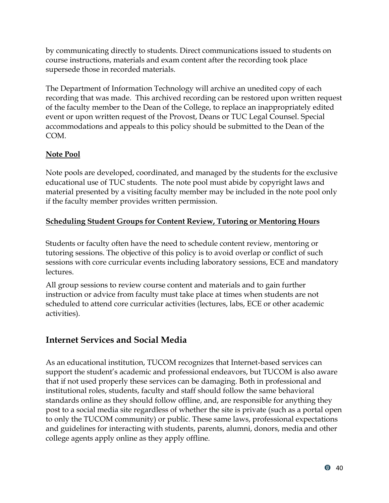by communicating directly to students. Direct communications issued to students on course instructions, materials and exam content after the recording took place supersede those in recorded materials.

The Department of Information Technology will archive an unedited copy of each recording that was made. This archived recording can be restored upon written request of the faculty member to the Dean of the College, to replace an inappropriately edited event or upon written request of the Provost, Deans or TUC Legal Counsel. Special accommodations and appeals to this policy should be submitted to the Dean of the COM.

## <span id="page-43-0"></span>**Note Pool**

Note pools are developed, coordinated, and managed by the students for the exclusive educational use of TUC students. The note pool must abide by copyright laws and material presented by a visiting faculty member may be included in the note pool only if the faculty member provides written permission.

## <span id="page-43-1"></span>**Scheduling Student Groups for Content Review, Tutoring or Mentoring Hours**

Students or faculty often have the need to schedule content review, mentoring or tutoring sessions. The objective of this policy is to avoid overlap or conflict of such sessions with core curricular events including laboratory sessions, ECE and mandatory lectures.

All group sessions to review course content and materials and to gain further instruction or advice from faculty must take place at times when students are not scheduled to attend core curricular activities (lectures, labs, ECE or other academic activities).

# <span id="page-43-2"></span>**Internet Services and Social Media**

As an educational institution, TUCOM recognizes that Internet-based services can support the student's academic and professional endeavors, but TUCOM is also aware that if not used properly these services can be damaging. Both in professional and institutional roles, students, faculty and staff should follow the same behavioral standards online as they should follow offline, and, are responsible for anything they post to a social media site regardless of whether the site is private (such as a portal open to only the TUCOM community) or public. These same laws, professional expectations and guidelines for interacting with students, parents, alumni, donors, media and other college agents apply online as they apply offline.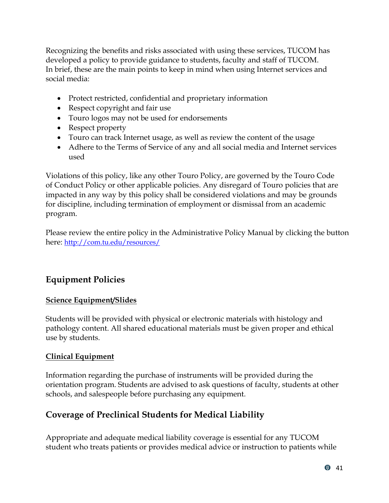Recognizing the benefits and risks associated with using these services, TUCOM has developed a policy to provide guidance to students, faculty and staff of TUCOM. In brief, these are the main points to keep in mind when using Internet services and social media:

- Protect restricted, confidential and proprietary information
- Respect copyright and fair use
- Touro logos may not be used for endorsements
- Respect property
- Touro can track Internet usage, as well as review the content of the usage
- Adhere to the Terms of Service of any and all social media and Internet services used

Violations of this policy, like any other Touro Policy, are governed by the Touro Code of Conduct Policy or other applicable policies. Any disregard of Touro policies that are impacted in any way by this policy shall be considered violations and may be grounds for discipline, including termination of employment or dismissal from an academic program.

Please review the entire policy in the Administrative Policy Manual by clicking the button here: <http://com.tu.edu/resources/>

# <span id="page-44-0"></span>**Equipment Policies**

## <span id="page-44-1"></span>**Science Equipment/Slides**

Students will be provided with physical or electronic materials with histology and pathology content. All shared educational materials must be given proper and ethical use by students.

## <span id="page-44-2"></span>**Clinical Equipment**

Information regarding the purchase of instruments will be provided during the orientation program. Students are advised to ask questions of faculty, students at other schools, and salespeople before purchasing any equipment.

# <span id="page-44-3"></span>**Coverage of Preclinical Students for Medical Liability**

Appropriate and adequate medical liability coverage is essential for any TUCOM student who treats patients or provides medical advice or instruction to patients while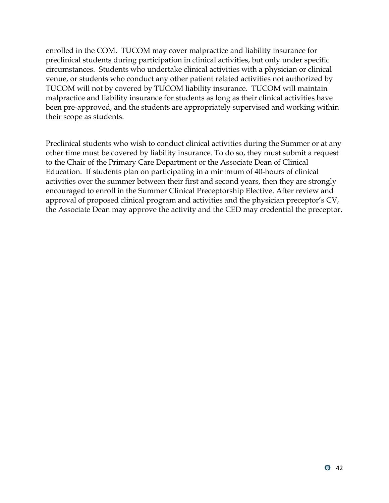enrolled in the COM. TUCOM may cover malpractice and liability insurance for preclinical students during participation in clinical activities, but only under specific circumstances. Students who undertake clinical activities with a physician or clinical venue, or students who conduct any other patient related activities not authorized by TUCOM will not by covered by TUCOM liability insurance. TUCOM will maintain malpractice and liability insurance for students as long as their clinical activities have been pre-approved, and the students are appropriately supervised and working within their scope as students.

Preclinical students who wish to conduct clinical activities during the Summer or at any other time must be covered by liability insurance. To do so, they must submit a request to the Chair of the Primary Care Department or the Associate Dean of Clinical Education. If students plan on participating in a minimum of 40-hours of clinical activities over the summer between their first and second years, then they are strongly encouraged to enroll in the Summer Clinical Preceptorship Elective. After review and approval of proposed clinical program and activities and the physician preceptor's CV, the Associate Dean may approve the activity and the CED may credential the preceptor.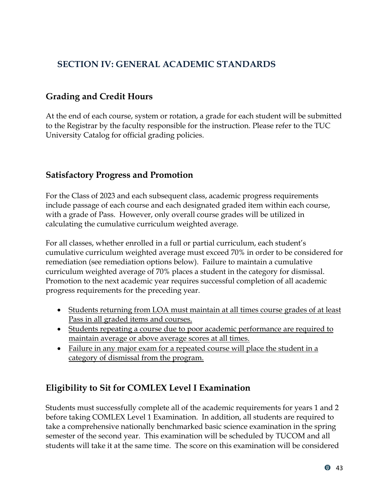# <span id="page-46-0"></span>**SECTION IV: GENERAL ACADEMIC STANDARDS**

## <span id="page-46-1"></span>**Grading and Credit Hours**

At the end of each course, system or rotation, a grade for each student will be submitted to the Registrar by the faculty responsible for the instruction. Please refer to the TUC University Catalog for official grading policies.

## <span id="page-46-2"></span>**Satisfactory Progress and Promotion**

For the Class of 2023 and each subsequent class, academic progress requirements include passage of each course and each designated graded item within each course, with a grade of Pass. However, only overall course grades will be utilized in calculating the cumulative curriculum weighted average.

For all classes, whether enrolled in a full or partial curriculum, each student's cumulative curriculum weighted average must exceed 70% in order to be considered for remediation (see remediation options below). Failure to maintain a cumulative curriculum weighted average of 70% places a student in the category for dismissal. Promotion to the next academic year requires successful completion of all academic progress requirements for the preceding year.

- Students returning from LOA must maintain at all times course grades of at least Pass in all graded items and courses.
- Students repeating a course due to poor academic performance are required to maintain average or above average scores at all times.
- Failure in any major exam for a repeated course will place the student in a category of dismissal from the program.

## <span id="page-46-3"></span>**Eligibility to Sit for COMLEX Level I Examination**

Students must successfully complete all of the academic requirements for years 1 and 2 before taking COMLEX Level 1 Examination. In addition, all students are required to take a comprehensive nationally benchmarked basic science examination in the spring semester of the second year. This examination will be scheduled by TUCOM and all students will take it at the same time. The score on this examination will be considered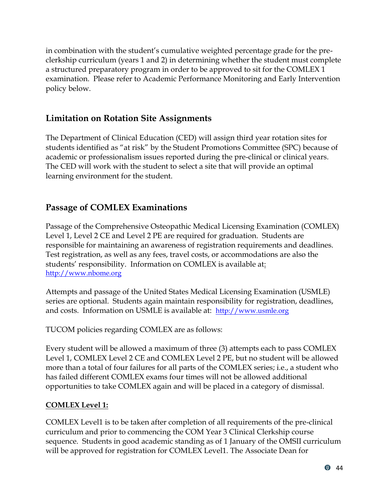in combination with the student's cumulative weighted percentage grade for the preclerkship curriculum (years 1 and 2) in determining whether the student must complete a structured preparatory program in order to be approved to sit for the COMLEX 1 examination. Please refer to Academic Performance Monitoring and Early Intervention policy below.

# <span id="page-47-0"></span>**Limitation on Rotation Site Assignments**

The Department of Clinical Education (CED) will assign third year rotation sites for students identified as "at risk" by the Student Promotions Committee (SPC) because of academic or professionalism issues reported during the pre-clinical or clinical years. The CED will work with the student to select a site that will provide an optimal learning environment for the student.

# <span id="page-47-1"></span>**Passage of COMLEX Examinations**

Passage of the Comprehensive Osteopathic Medical Licensing Examination (COMLEX) Level 1, Level 2 CE and Level 2 PE are required for graduation. Students are responsible for maintaining an awareness of registration requirements and deadlines. Test registration, as well as any fees, travel costs, or accommodations are also the students' responsibility. Information on COMLEX is available at: [http://www.nbome.org](http://www.nbome.org/)

Attempts and passage of the United States Medical Licensing Examination (USMLE) series are optional. Students again maintain responsibility for registration, deadlines, and costs. Information on USMLE is available at: [http://www.usmle.org](http://www.usmle.org/)

TUCOM policies regarding COMLEX are as follows:

Every student will be allowed a maximum of three (3) attempts each to pass COMLEX Level 1, COMLEX Level 2 CE and COMLEX Level 2 PE, but no student will be allowed more than a total of four failures for all parts of the COMLEX series; i.e., a student who has failed different COMLEX exams four times will not be allowed additional opportunities to take COMLEX again and will be placed in a category of dismissal.

## **COMLEX Level 1:**

COMLEX Level1 is to be taken after completion of all requirements of the pre-clinical curriculum and prior to commencing the COM Year 3 Clinical Clerkship course sequence. Students in good academic standing as of 1 January of the OMSII curriculum will be approved for registration for COMLEX Level1. The Associate Dean for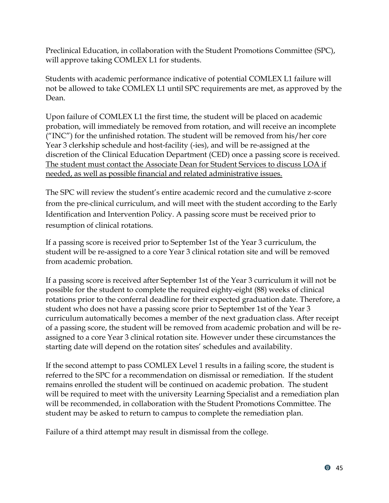Preclinical Education, in collaboration with the Student Promotions Committee (SPC), will approve taking COMLEX L1 for students.

Students with academic performance indicative of potential COMLEX L1 failure will not be allowed to take COMLEX L1 until SPC requirements are met, as approved by the Dean.

Upon failure of COMLEX L1 the first time, the student will be placed on academic probation, will immediately be removed from rotation, and will receive an incomplete ("INC") for the unfinished rotation. The student will be removed from his/her core Year 3 clerkship schedule and host-facility (-ies), and will be re-assigned at the discretion of the Clinical Education Department (CED) once a passing score is received. The student must contact the Associate Dean for Student Services to discuss LOA if needed, as well as possible financial and related administrative issues.

The SPC will review the student's entire academic record and the cumulative z-score from the pre-clinical curriculum, and will meet with the student according to the Early Identification and Intervention Policy. A passing score must be received prior to resumption of clinical rotations.

If a passing score is received prior to September 1st of the Year 3 curriculum, the student will be re-assigned to a core Year 3 clinical rotation site and will be removed from academic probation.

If a passing score is received after September 1st of the Year 3 curriculum it will not be possible for the student to complete the required eighty-eight (88) weeks of clinical rotations prior to the conferral deadline for their expected graduation date. Therefore, a student who does not have a passing score prior to September 1st of the Year 3 curriculum automatically becomes a member of the next graduation class. After receipt of a passing score, the student will be removed from academic probation and will be reassigned to a core Year 3 clinical rotation site. However under these circumstances the starting date will depend on the rotation sites' schedules and availability.

If the second attempt to pass COMLEX Level 1 results in a failing score, the student is referred to the SPC for a recommendation on dismissal or remediation. If the student remains enrolled the student will be continued on academic probation. The student will be required to meet with the university Learning Specialist and a remediation plan will be recommended, in collaboration with the Student Promotions Committee. The student may be asked to return to campus to complete the remediation plan.

Failure of a third attempt may result in dismissal from the college.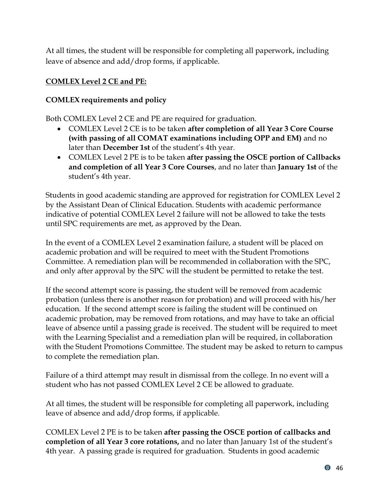At all times, the student will be responsible for completing all paperwork, including leave of absence and add/drop forms, if applicable.

## <span id="page-49-0"></span>**COMLEX Level 2 CE and PE:**

#### **COMLEX requirements and policy**

Both COMLEX Level 2 CE and PE are required for graduation.

- COMLEX Level 2 CE is to be taken **after completion of all Year 3 Core Course (with passing of all COMAT examinations including OPP and EM)** and no later than **December 1st** of the student's 4th year.
- COMLEX Level 2 PE is to be taken **after passing the OSCE portion of Callbacks and completion of all Year 3 Core Courses**, and no later than **January 1st** of the student's 4th year.

Students in good academic standing are approved for registration for COMLEX Level 2 by the Assistant Dean of Clinical Education. Students with academic performance indicative of potential COMLEX Level 2 failure will not be allowed to take the tests until SPC requirements are met, as approved by the Dean.

In the event of a COMLEX Level 2 examination failure, a student will be placed on academic probation and will be required to meet with the Student Promotions Committee. A remediation plan will be recommended in collaboration with the SPC, and only after approval by the SPC will the student be permitted to retake the test.

If the second attempt score is passing, the student will be removed from academic probation (unless there is another reason for probation) and will proceed with his/her education. If the second attempt score is failing the student will be continued on academic probation, may be removed from rotations, and may have to take an official leave of absence until a passing grade is received. The student will be required to meet with the Learning Specialist and a remediation plan will be required, in collaboration with the Student Promotions Committee. The student may be asked to return to campus to complete the remediation plan.

Failure of a third attempt may result in dismissal from the college. In no event will a student who has not passed COMLEX Level 2 CE be allowed to graduate.

At all times, the student will be responsible for completing all paperwork, including leave of absence and add/drop forms, if applicable.

COMLEX Level 2 PE is to be taken **after passing the OSCE portion of callbacks and completion of all Year 3 core rotations,** and no later than January 1st of the student's 4th year. A passing grade is required for graduation. Students in good academic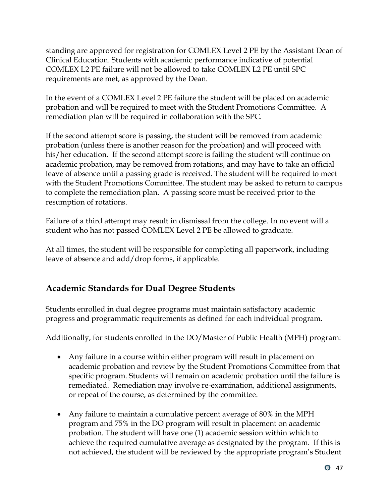standing are approved for registration for COMLEX Level 2 PE by the Assistant Dean of Clinical Education. Students with academic performance indicative of potential COMLEX L2 PE failure will not be allowed to take COMLEX L2 PE until SPC requirements are met, as approved by the Dean.

In the event of a COMLEX Level 2 PE failure the student will be placed on academic probation and will be required to meet with the Student Promotions Committee. A remediation plan will be required in collaboration with the SPC.

If the second attempt score is passing, the student will be removed from academic probation (unless there is another reason for the probation) and will proceed with his/her education. If the second attempt score is failing the student will continue on academic probation, may be removed from rotations, and may have to take an official leave of absence until a passing grade is received. The student will be required to meet with the Student Promotions Committee. The student may be asked to return to campus to complete the remediation plan. A passing score must be received prior to the resumption of rotations.

Failure of a third attempt may result in dismissal from the college. In no event will a student who has not passed COMLEX Level 2 PE be allowed to graduate.

At all times, the student will be responsible for completing all paperwork, including leave of absence and add/drop forms, if applicable.

# <span id="page-50-0"></span>**Academic Standards for Dual Degree Students**

Students enrolled in dual degree programs must maintain satisfactory academic progress and programmatic requirements as defined for each individual program.

Additionally, for students enrolled in the DO/Master of Public Health (MPH) program:

- Any failure in a course within either program will result in placement on academic probation and review by the Student Promotions Committee from that specific program. Students will remain on academic probation until the failure is remediated. Remediation may involve re-examination, additional assignments, or repeat of the course, as determined by the committee.
- Any failure to maintain a cumulative percent average of 80% in the MPH program and 75% in the DO program will result in placement on academic probation. The student will have one (1) academic session within which to achieve the required cumulative average as designated by the program. If this is not achieved, the student will be reviewed by the appropriate program's Student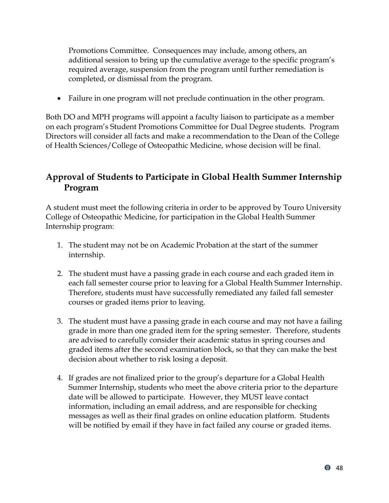Promotions Committee. Consequences may include, among others, an additional session to bring up the cumulative average to the specific program's required average, suspension from the program until further remediation is completed, or dismissal from the program.

• Failure in one program will not preclude continuation in the other program.

Both DO and MPH programs will appoint a faculty liaison to participate as a member on each program's Student Promotions Committee for Dual Degree students. Program Directors will consider all facts and make a recommendation to the Dean of the College of Health Sciences/College of Osteopathic Medicine, whose decision will be final.

# <span id="page-51-0"></span>**Approval of Students to Participate in Global Health Summer Internship Program**

A student must meet the following criteria in order to be approved by Touro University College of Osteopathic Medicine, for participation in the Global Health Summer Internship program:

- 1. The student may not be on Academic Probation at the start of the summer internship.
- 2. The student must have a passing grade in each course and each graded item in each fall semester course prior to leaving for a Global Health Summer Internship. Therefore, students must have successfully remediated any failed fall semester courses or graded items prior to leaving.
- 3. The student must have a passing grade in each course and may not have a failing grade in more than one graded item for the spring semester. Therefore, students are advised to carefully consider their academic status in spring courses and graded items after the second examination block, so that they can make the best decision about whether to risk losing a deposit.
- 4. If grades are not finalized prior to the group's departure for a Global Health Summer Internship, students who meet the above criteria prior to the departure date will be allowed to participate. However, they MUST leave contact information, including an email address, and are responsible for checking messages as well as their final grades on online education platform. Students will be notified by email if they have in fact failed any course or graded items.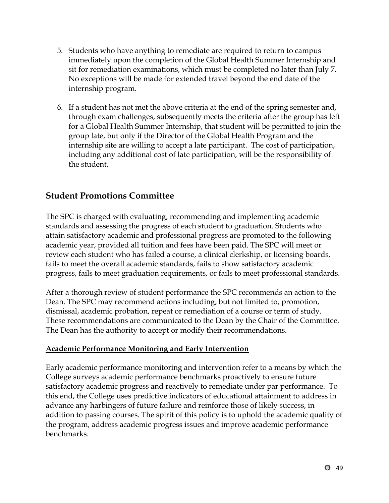- 5. Students who have anything to remediate are required to return to campus immediately upon the completion of the Global Health Summer Internship and sit for remediation examinations, which must be completed no later than July 7. No exceptions will be made for extended travel beyond the end date of the internship program.
- 6. If a student has not met the above criteria at the end of the spring semester and, through exam challenges, subsequently meets the criteria after the group has left for a Global Health Summer Internship, that student will be permitted to join the group late, but only if the Director of the Global Health Program and the internship site are willing to accept a late participant. The cost of participation, including any additional cost of late participation, will be the responsibility of the student.

## <span id="page-52-0"></span>**Student Promotions Committee**

The SPC is charged with evaluating, recommending and implementing academic standards and assessing the progress of each student to graduation. Students who attain satisfactory academic and professional progress are promoted to the following academic year, provided all tuition and fees have been paid. The SPC will meet or review each student who has failed a course, a clinical clerkship, or licensing boards, fails to meet the overall academic standards, fails to show satisfactory academic progress, fails to meet graduation requirements, or fails to meet professional standards.

After a thorough review of student performance the SPC recommends an action to the Dean. The SPC may recommend actions including, but not limited to, promotion, dismissal, academic probation, repeat or remediation of a course or term of study. These recommendations are communicated to the Dean by the Chair of the Committee. The Dean has the authority to accept or modify their recommendations.

#### <span id="page-52-1"></span>**Academic Performance Monitoring and Early Intervention**

Early academic performance monitoring and intervention refer to a means by which the College surveys academic performance benchmarks proactively to ensure future satisfactory academic progress and reactively to remediate under par performance. To this end, the College uses predictive indicators of educational attainment to address in advance any harbingers of future failure and reinforce those of likely success, in addition to passing courses. The spirit of this policy is to uphold the academic quality of the program, address academic progress issues and improve academic performance benchmarks.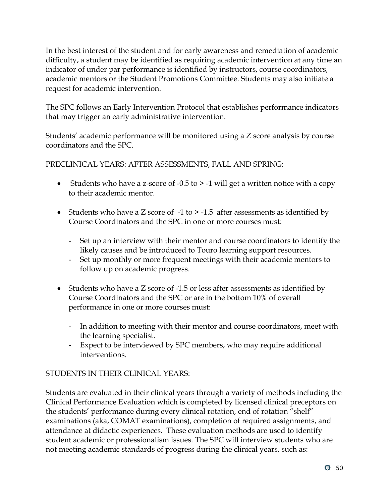In the best interest of the student and for early awareness and remediation of academic difficulty, a student may be identified as requiring academic intervention at any time an indicator of under par performance is identified by instructors, course coordinators, academic mentors or the Student Promotions Committee. Students may also initiate a request for academic intervention.

The SPC follows an Early Intervention Protocol that establishes performance indicators that may trigger an early administrative intervention.

Students' academic performance will be monitored using a Z score analysis by course coordinators and the SPC.

PRECLINICAL YEARS: AFTER ASSESSMENTS, FALL AND SPRING:

- Students who have a z-score of  $-0.5$  to  $> -1$  will get a written notice with a copy to their academic mentor.
- Students who have a Z score of  $-1$  to  $> -1.5$  after assessments as identified by Course Coordinators and the SPC in one or more courses must:
	- Set up an interview with their mentor and course coordinators to identify the likely causes and be introduced to Touro learning support resources.
	- Set up monthly or more frequent meetings with their academic mentors to follow up on academic progress.
- Students who have a Z score of -1.5 or less after assessments as identified by Course Coordinators and the SPC or are in the bottom 10% of overall performance in one or more courses must:
	- In addition to meeting with their mentor and course coordinators, meet with the learning specialist.
	- Expect to be interviewed by SPC members, who may require additional interventions.

## STUDENTS IN THEIR CLINICAL YEARS:

Students are evaluated in their clinical years through a variety of methods including the Clinical Performance Evaluation which is completed by licensed clinical preceptors on the students' performance during every clinical rotation, end of rotation "shelf" examinations (aka, COMAT examinations), completion of required assignments, and attendance at didactic experiences. These evaluation methods are used to identify student academic or professionalism issues. The SPC will interview students who are not meeting academic standards of progress during the clinical years, such as: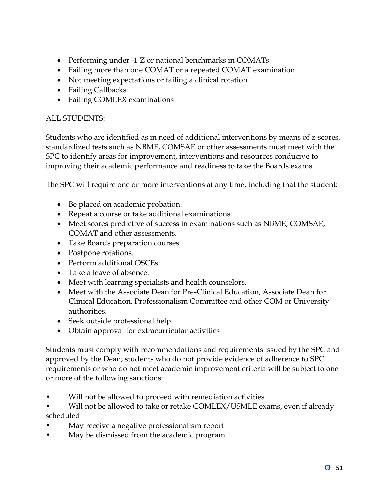- Performing under -1 Z or national benchmarks in COMATs
- Failing more than one COMAT or a repeated COMAT examination
- Not meeting expectations or failing a clinical rotation
- Failing Callbacks
- Failing COMLEX examinations

#### ALL STUDENTS:

Students who are identified as in need of additional interventions by means of z-scores, standardized tests such as NBME, COMSAE or other assessments must meet with the SPC to identify areas for improvement, interventions and resources conducive to improving their academic performance and readiness to take the Boards exams.

The SPC will require one or more interventions at any time, including that the student:

- Be placed on academic probation.
- Repeat a course or take additional examinations.
- Meet scores predictive of success in examinations such as NBME, COMSAE, COMAT and other assessments.
- Take Boards preparation courses.
- Postpone rotations.
- Perform additional OSCEs.
- Take a leave of absence.
- Meet with learning specialists and health counselors.
- Meet with the Associate Dean for Pre-Clinical Education, Associate Dean for Clinical Education, Professionalism Committee and other COM or University authorities.
- Seek outside professional help.
- Obtain approval for extracurricular activities

Students must comply with recommendations and requirements issued by the SPC and approved by the Dean; students who do not provide evidence of adherence to SPC requirements or who do not meet academic improvement criteria will be subject to one or more of the following sanctions:

Will not be allowed to proceed with remediation activities

Will not be allowed to take or retake COMLEX/USMLE exams, even if already scheduled

- May receive a negative professionalism report
- May be dismissed from the academic program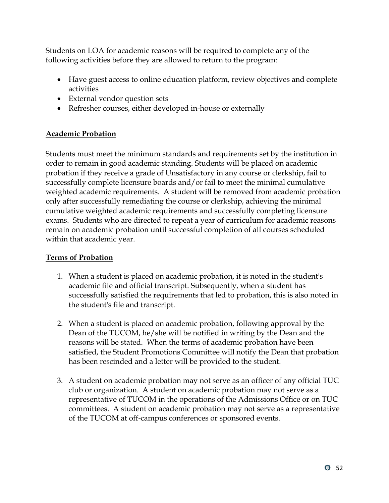Students on LOA for academic reasons will be required to complete any of the following activities before they are allowed to return to the program:

- Have guest access to online education platform, review objectives and complete activities
- External vendor question sets
- Refresher courses, either developed in-house or externally

#### <span id="page-55-0"></span>**Academic Probation**

Students must meet the minimum standards and requirements set by the institution in order to remain in good academic standing. Students will be placed on academic probation if they receive a grade of Unsatisfactory in any course or clerkship, fail to successfully complete licensure boards and/or fail to meet the minimal cumulative weighted academic requirements. A student will be removed from academic probation only after successfully remediating the course or clerkship, achieving the minimal cumulative weighted academic requirements and successfully completing licensure exams. Students who are directed to repeat a year of curriculum for academic reasons remain on academic probation until successful completion of all courses scheduled within that academic year.

#### <span id="page-55-1"></span>**Terms of Probation**

- 1. When a student is placed on academic probation, it is noted in the student's academic file and official transcript. Subsequently, when a student has successfully satisfied the requirements that led to probation, this is also noted in the student's file and transcript.
- 2. When a student is placed on academic probation, following approval by the Dean of the TUCOM, he/she will be notified in writing by the Dean and the reasons will be stated. When the terms of academic probation have been satisfied, the Student Promotions Committee will notify the Dean that probation has been rescinded and a letter will be provided to the student.
- 3. A student on academic probation may not serve as an officer of any official TUC club or organization. A student on academic probation may not serve as a representative of TUCOM in the operations of the Admissions Office or on TUC committees. A student on academic probation may not serve as a representative of the TUCOM at off-campus conferences or sponsored events.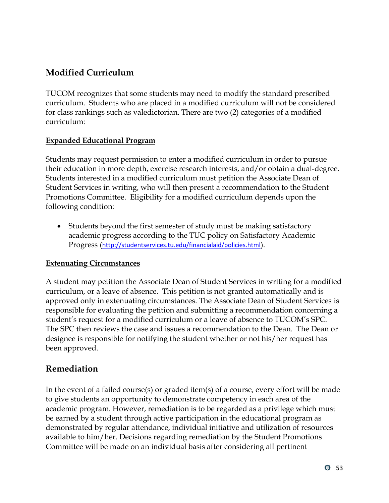# <span id="page-56-0"></span>**Modified Curriculum**

TUCOM recognizes that some students may need to modify the standard prescribed curriculum. Students who are placed in a modified curriculum will not be considered for class rankings such as valedictorian. There are two (2) categories of a modified curriculum:

## <span id="page-56-1"></span>**Expanded Educational Program**

Students may request permission to enter a modified curriculum in order to pursue their education in more depth, exercise research interests, and/or obtain a dual-degree. Students interested in a modified curriculum must petition the Associate Dean of Student Services in writing, who will then present a recommendation to the Student Promotions Committee. Eligibility for a modified curriculum depends upon the following condition:

• Students beyond the first semester of study must be making satisfactory academic progress according to the TUC policy on Satisfactory Academic Progress (<http://studentservices.tu.edu/financialaid/policies.html>).

## <span id="page-56-2"></span>**Extenuating Circumstances**

A student may petition the Associate Dean of Student Services in writing for a modified curriculum, or a leave of absence. This petition is not granted automatically and is approved only in extenuating circumstances. The Associate Dean of Student Services is responsible for evaluating the petition and submitting a recommendation concerning a student's request for a modified curriculum or a leave of absence to TUCOM's SPC. The SPC then reviews the case and issues a recommendation to the Dean. The Dean or designee is responsible for notifying the student whether or not his/her request has been approved.

## <span id="page-56-3"></span>**Remediation**

In the event of a failed course(s) or graded item(s) of a course, every effort will be made to give students an opportunity to demonstrate competency in each area of the academic program. However, remediation is to be regarded as a privilege which must be earned by a student through active participation in the educational program as demonstrated by regular attendance, individual initiative and utilization of resources available to him/her. Decisions regarding remediation by the Student Promotions Committee will be made on an individual basis after considering all pertinent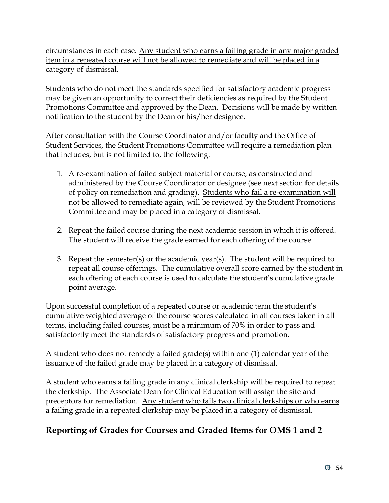circumstances in each case. Any student who earns a failing grade in any major graded item in a repeated course will not be allowed to remediate and will be placed in a category of dismissal.

Students who do not meet the standards specified for satisfactory academic progress may be given an opportunity to correct their deficiencies as required by the Student Promotions Committee and approved by the Dean. Decisions will be made by written notification to the student by the Dean or his/her designee.

After consultation with the Course Coordinator and/or faculty and the Office of Student Services, the Student Promotions Committee will require a remediation plan that includes, but is not limited to, the following:

- 1. A re-examination of failed subject material or course, as constructed and administered by the Course Coordinator or designee (see next section for details of policy on remediation and grading). Students who fail a re-examination will not be allowed to remediate again, will be reviewed by the Student Promotions Committee and may be placed in a category of dismissal.
- 2. Repeat the failed course during the next academic session in which it is offered. The student will receive the grade earned for each offering of the course.
- 3. Repeat the semester(s) or the academic year(s). The student will be required to repeat all course offerings. The cumulative overall score earned by the student in each offering of each course is used to calculate the student's cumulative grade point average.

Upon successful completion of a repeated course or academic term the student's cumulative weighted average of the course scores calculated in all courses taken in all terms, including failed courses, must be a minimum of 70% in order to pass and satisfactorily meet the standards of satisfactory progress and promotion.

A student who does not remedy a failed grade(s) within one (1) calendar year of the issuance of the failed grade may be placed in a category of dismissal.

A student who earns a failing grade in any clinical clerkship will be required to repeat the clerkship. The Associate Dean for Clinical Education will assign the site and preceptors for remediation. Any student who fails two clinical clerkships or who earns a failing grade in a repeated clerkship may be placed in a category of dismissal.

# <span id="page-57-0"></span>**Reporting of Grades for Courses and Graded Items for OMS 1 and 2**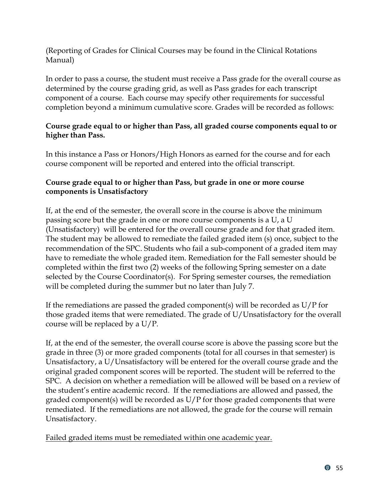(Reporting of Grades for Clinical Courses may be found in the Clinical Rotations Manual)

In order to pass a course, the student must receive a Pass grade for the overall course as determined by the course grading grid, as well as Pass grades for each transcript component of a course. Each course may specify other requirements for successful completion beyond a minimum cumulative score. Grades will be recorded as follows:

#### **Course grade equal to or higher than Pass, all graded course components equal to or higher than Pass.**

In this instance a Pass or Honors/High Honors as earned for the course and for each course component will be reported and entered into the official transcript.

#### **Course grade equal to or higher than Pass, but grade in one or more course components is Unsatisfactory**

If, at the end of the semester, the overall score in the course is above the minimum passing score but the grade in one or more course components is a U, a U (Unsatisfactory) will be entered for the overall course grade and for that graded item. The student may be allowed to remediate the failed graded item (s) once, subject to the recommendation of the SPC. Students who fail a sub-component of a graded item may have to remediate the whole graded item. Remediation for the Fall semester should be completed within the first two (2) weeks of the following Spring semester on a date selected by the Course Coordinator(s). For Spring semester courses, the remediation will be completed during the summer but no later than July 7.

If the remediations are passed the graded component(s) will be recorded as  $U/P$  for those graded items that were remediated. The grade of U/Unsatisfactory for the overall course will be replaced by a U/P.

If, at the end of the semester, the overall course score is above the passing score but the grade in three (3) or more graded components (total for all courses in that semester) is Unsatisfactory, a U/Unsatisfactory will be entered for the overall course grade and the original graded component scores will be reported. The student will be referred to the SPC. A decision on whether a remediation will be allowed will be based on a review of the student's entire academic record. If the remediations are allowed and passed, the graded component(s) will be recorded as  $U/P$  for those graded components that were remediated. If the remediations are not allowed, the grade for the course will remain Unsatisfactory.

Failed graded items must be remediated within one academic year.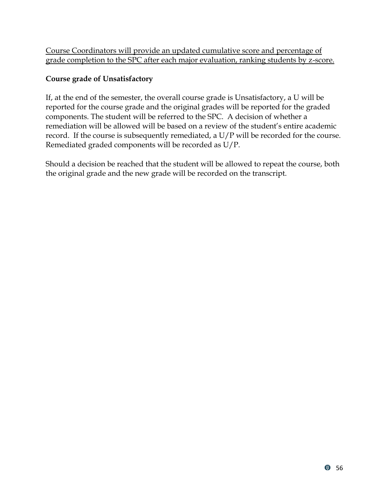Course Coordinators will provide an updated cumulative score and percentage of grade completion to the SPC after each major evaluation, ranking students by z-score.

## **Course grade of Unsatisfactory**

If, at the end of the semester, the overall course grade is Unsatisfactory, a U will be reported for the course grade and the original grades will be reported for the graded components. The student will be referred to the SPC. A decision of whether a remediation will be allowed will be based on a review of the student's entire academic record. If the course is subsequently remediated, a U/P will be recorded for the course. Remediated graded components will be recorded as U/P.

Should a decision be reached that the student will be allowed to repeat the course, both the original grade and the new grade will be recorded on the transcript.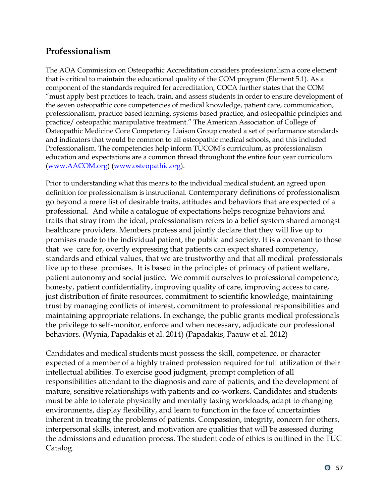## <span id="page-60-0"></span>**Professionalism**

The AOA Commission on Osteopathic Accreditation considers professionalism a core element that is critical to maintain the educational quality of the COM program (Element 5.1). As a component of the standards required for accreditation, COCA further states that the COM "must apply best practices to teach, train, and assess students in order to ensure development of the seven osteopathic core competencies of medical knowledge, patient care, communication, professionalism, practice based learning, systems based practice, and osteopathic principles and practice/ osteopathic manipulative treatment." The American Association of College of Osteopathic Medicine Core Competency Liaison Group created a set of performance standards and indicators that would be common to all osteopathic medical schools, and this included Professionalism. The competencies help inform TUCOM's curriculum, as professionalism education and expectations are a common thread throughout the entire four year curriculum. [\(www.AACOM.org\)](http://www.aacom.org/) [\(www.osteopathic.org\)](http://www.osteopathic.org/).

Prior to understanding what this means to the individual medical student, an agreed upon definition for professionalism is instructional. Contemporary definitions of professionalism go beyond a mere list of desirable traits, attitudes and behaviors that are expected of a professional. And while a catalogue of expectations helps recognize behaviors and traits that stray from the ideal, professionalism refers to a belief system shared amongst healthcare providers. Members profess and jointly declare that they will live up to promises made to the individual patient, the public and society. It is a covenant to those that we care for, overtly expressing that patients can expect shared competency, standards and ethical values, that we are trustworthy and that all medical professionals live up to these promises. It is based in the principles of primacy of patient welfare, patient autonomy and social justice. We commit ourselves to professional competence, honesty, patient confidentiality, improving quality of care, improving access to care, just distribution of finite resources, commitment to scientific knowledge, maintaining trust by managing conflicts of interest, commitment to professional responsibilities and maintaining appropriate relations. In exchange, the public grants medical professionals the privilege to self-monitor, enforce and when necessary, adjudicate our professional behaviors. [\(Wynia, Papadakis et al. 2014\)](#page-62-1) [\(Papadakis, Paauw et al. 2012\)](#page-61-1)

Candidates and medical students must possess the skill, competence, or character expected of a member of a highly trained profession required for full utilization of their intellectual abilities. To exercise good judgment, prompt completion of all responsibilities attendant to the diagnosis and care of patients, and the development of mature, sensitive relationships with patients and co-workers. Candidates and students must be able to tolerate physically and mentally taxing workloads, adapt to changing environments, display flexibility, and learn to function in the face of uncertainties inherent in treating the problems of patients. Compassion, integrity, concern for others, interpersonal skills, interest, and motivation are qualities that will be assessed during the admissions and education process. The student code of ethics is outlined in the TUC Catalog.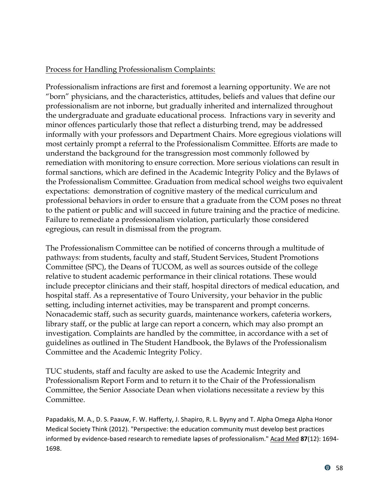#### <span id="page-61-0"></span>Process for Handling Professionalism Complaints:

Professionalism infractions are first and foremost a learning opportunity. We are not "born" physicians, and the characteristics, attitudes, beliefs and values that define our professionalism are not inborne, but gradually inherited and internalized throughout the undergraduate and graduate educational process. Infractions vary in severity and minor offences particularly those that reflect a disturbing trend, may be addressed informally with your professors and Department Chairs. More egregious violations will most certainly prompt a referral to the Professionalism Committee. Efforts are made to understand the background for the transgression most commonly followed by remediation with monitoring to ensure correction. More serious violations can result in formal sanctions, which are defined in the Academic Integrity Policy and the Bylaws of the Professionalism Committee. Graduation from medical school weighs two equivalent expectations: demonstration of cognitive mastery of the medical curriculum and professional behaviors in order to ensure that a graduate from the COM poses no threat to the patient or public and will succeed in future training and the practice of medicine. Failure to remediate a professionalism violation, particularly those considered egregious, can result in dismissal from the program.

The Professionalism Committee can be notified of concerns through a multitude of pathways: from students, faculty and staff, Student Services, Student Promotions Committee (SPC), the Deans of TUCOM, as well as sources outside of the college relative to student academic performance in their clinical rotations. These would include preceptor clinicians and their staff, hospital directors of medical education, and hospital staff. As a representative of Touro University, your behavior in the public setting, including internet activities, may be transparent and prompt concerns. Nonacademic staff, such as security guards, maintenance workers, cafeteria workers, library staff, or the public at large can report a concern, which may also prompt an investigation. Complaints are handled by the committee, in accordance with a set of guidelines as outlined in The Student Handbook, the Bylaws of the Professionalism Committee and the Academic Integrity Policy.

TUC students, staff and faculty are asked to use the Academic Integrity and Professionalism Report Form and to return it to the Chair of the Professionalism Committee, the Senior Associate Dean when violations necessitate a review by this Committee.

<span id="page-61-1"></span>Papadakis, M. A., D. S. Paauw, F. W. Hafferty, J. Shapiro, R. L. Byyny and T. Alpha Omega Alpha Honor Medical Society Think (2012). "Perspective: the education community must develop best practices informed by evidence-based research to remediate lapses of professionalism." Acad Med **87**(12): 1694- 1698.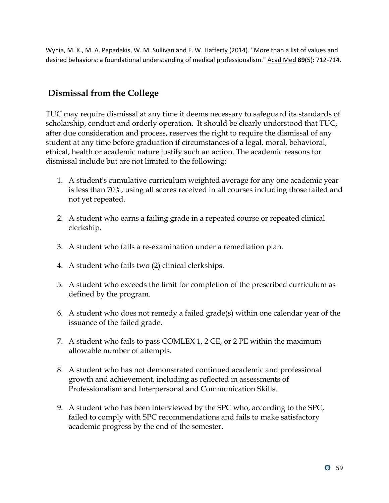<span id="page-62-1"></span>Wynia, M. K., M. A. Papadakis, W. M. Sullivan and F. W. Hafferty (2014). "More than a list of values and desired behaviors: a foundational understanding of medical professionalism." Acad Med **89**(5): 712-714.

# <span id="page-62-0"></span>**Dismissal from the College**

TUC may require dismissal at any time it deems necessary to safeguard its standards of scholarship, conduct and orderly operation. It should be clearly understood that TUC, after due consideration and process, reserves the right to require the dismissal of any student at any time before graduation if circumstances of a legal, moral, behavioral, ethical, health or academic nature justify such an action. The academic reasons for dismissal include but are not limited to the following:

- 1. A student's cumulative curriculum weighted average for any one academic year is less than 70%, using all scores received in all courses including those failed and not yet repeated.
- 2. A student who earns a failing grade in a repeated course or repeated clinical clerkship.
- 3. A student who fails a re-examination under a remediation plan.
- 4. A student who fails two (2) clinical clerkships.
- 5. A student who exceeds the limit for completion of the prescribed curriculum as defined by the program.
- 6. A student who does not remedy a failed grade(s) within one calendar year of the issuance of the failed grade.
- 7. A student who fails to pass COMLEX 1, 2 CE, or 2 PE within the maximum allowable number of attempts.
- 8. A student who has not demonstrated continued academic and professional growth and achievement, including as reflected in assessments of Professionalism and Interpersonal and Communication Skills.
- 9. A student who has been interviewed by the SPC who, according to the SPC, failed to comply with SPC recommendations and fails to make satisfactory academic progress by the end of the semester.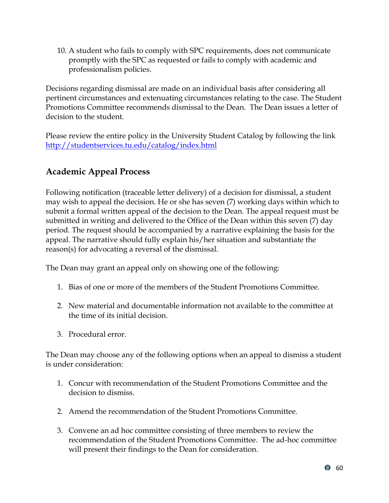10. A student who fails to comply with SPC requirements, does not communicate promptly with the SPC as requested or fails to comply with academic and professionalism policies.

Decisions regarding dismissal are made on an individual basis after considering all pertinent circumstances and extenuating circumstances relating to the case. The Student Promotions Committee recommends dismissal to the Dean. The Dean issues a letter of decision to the student.

Please review the entire policy in the University Student Catalog by following the link <http://studentservices.tu.edu/catalog/index.html>

# <span id="page-63-0"></span>**Academic Appeal Process**

Following notification (traceable letter delivery) of a decision for dismissal, a student may wish to appeal the decision. He or she has seven (7) working days within which to submit a formal written appeal of the decision to the Dean. The appeal request must be submitted in writing and delivered to the Office of the Dean within this seven (7) day period. The request should be accompanied by a narrative explaining the basis for the appeal. The narrative should fully explain his/her situation and substantiate the reason(s) for advocating a reversal of the dismissal.

The Dean may grant an appeal only on showing one of the following:

- 1. Bias of one or more of the members of the Student Promotions Committee.
- 2. New material and documentable information not available to the committee at the time of its initial decision.
- 3. Procedural error.

The Dean may choose any of the following options when an appeal to dismiss a student is under consideration:

- 1. Concur with recommendation of the Student Promotions Committee and the decision to dismiss.
- 2. Amend the recommendation of the Student Promotions Committee.
- 3. Convene an ad hoc committee consisting of three members to review the recommendation of the Student Promotions Committee. The ad-hoc committee will present their findings to the Dean for consideration.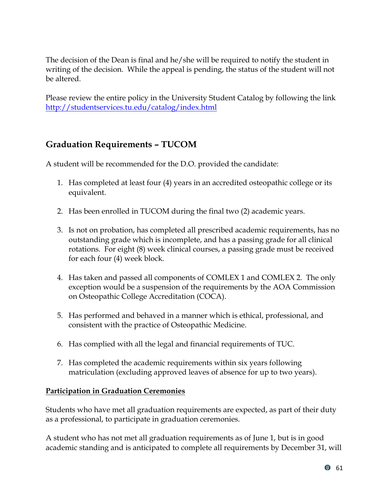The decision of the Dean is final and he/she will be required to notify the student in writing of the decision. While the appeal is pending, the status of the student will not be altered.

Please review the entire policy in the University Student Catalog by following the link <http://studentservices.tu.edu/catalog/index.html>

# <span id="page-64-0"></span>**Graduation Requirements – TUCOM**

A student will be recommended for the D.O. provided the candidate:

- 1. Has completed at least four (4) years in an accredited osteopathic college or its equivalent.
- 2. Has been enrolled in TUCOM during the final two (2) academic years.
- 3. Is not on probation, has completed all prescribed academic requirements, has no outstanding grade which is incomplete, and has a passing grade for all clinical rotations. For eight (8) week clinical courses, a passing grade must be received for each four (4) week block.
- 4. Has taken and passed all components of COMLEX 1 and COMLEX 2. The only exception would be a suspension of the requirements by the AOA Commission on Osteopathic College Accreditation (COCA).
- 5. Has performed and behaved in a manner which is ethical, professional, and consistent with the practice of Osteopathic Medicine.
- 6. Has complied with all the legal and financial requirements of TUC.
- 7. Has completed the academic requirements within six years following matriculation (excluding approved leaves of absence for up to two years).

#### <span id="page-64-1"></span>**Participation in Graduation Ceremonies**

Students who have met all graduation requirements are expected, as part of their duty as a professional, to participate in graduation ceremonies.

A student who has not met all graduation requirements as of June 1, but is in good academic standing and is anticipated to complete all requirements by December 31, will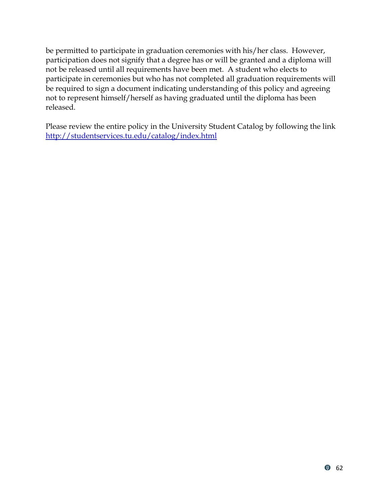be permitted to participate in graduation ceremonies with his/her class. However, participation does not signify that a degree has or will be granted and a diploma will not be released until all requirements have been met. A student who elects to participate in ceremonies but who has not completed all graduation requirements will be required to sign a document indicating understanding of this policy and agreeing not to represent himself/herself as having graduated until the diploma has been released.

Please review the entire policy in the University Student Catalog by following the link <http://studentservices.tu.edu/catalog/index.html>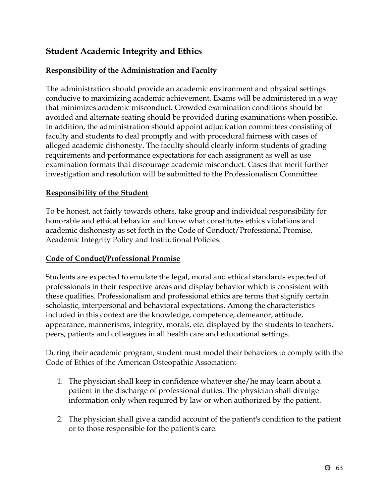# <span id="page-66-0"></span>**Student Academic Integrity and Ethics**

#### <span id="page-66-1"></span>**Responsibility of the Administration and Faculty**

The administration should provide an academic environment and physical settings conducive to maximizing academic achievement. Exams will be administered in a way that minimizes academic misconduct. Crowded examination conditions should be avoided and alternate seating should be provided during examinations when possible. In addition, the administration should appoint adjudication committees consisting of faculty and students to deal promptly and with procedural fairness with cases of alleged academic dishonesty. The faculty should clearly inform students of grading requirements and performance expectations for each assignment as well as use examination formats that discourage academic misconduct. Cases that merit further investigation and resolution will be submitted to the Professionalism Committee.

#### <span id="page-66-2"></span>**Responsibility of the Student**

To be honest, act fairly towards others, take group and individual responsibility for honorable and ethical behavior and know what constitutes ethics violations and academic dishonesty as set forth in the Code of Conduct/Professional Promise, Academic Integrity Policy and Institutional Policies.

#### <span id="page-66-3"></span>**Code of Conduct/Professional Promise**

Students are expected to emulate the legal, moral and ethical standards expected of professionals in their respective areas and display behavior which is consistent with these qualities. Professionalism and professional ethics are terms that signify certain scholastic, interpersonal and behavioral expectations. Among the characteristics included in this context are the knowledge, competence, demeanor, attitude, appearance, mannerisms, integrity, morals, etc. displayed by the students to teachers, peers, patients and colleagues in all health care and educational settings.

During their academic program, student must model their behaviors to comply with the Code of Ethics of the American Osteopathic Association:

- 1. The physician shall keep in confidence whatever she/he may learn about a patient in the discharge of professional duties. The physician shall divulge information only when required by law or when authorized by the patient.
- 2. The physician shall give a candid account of the patient's condition to the patient or to those responsible for the patient's care.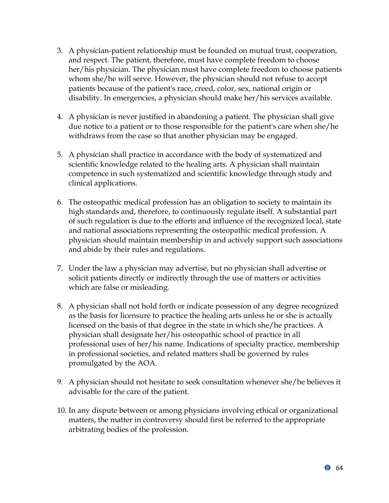- 3. A physician-patient relationship must be founded on mutual trust, cooperation, and respect. The patient, therefore, must have complete freedom to choose her/his physician. The physician must have complete freedom to choose patients whom she/he will serve. However, the physician should not refuse to accept patients because of the patient's race, creed, color, sex, national origin or disability. In emergencies, a physician should make her/his services available.
- 4. A physician is never justified in abandoning a patient. The physician shall give due notice to a patient or to those responsible for the patient's care when she/he withdraws from the case so that another physician may be engaged.
- 5. A physician shall practice in accordance with the body of systematized and scientific knowledge related to the healing arts. A physician shall maintain competence in such systematized and scientific knowledge through study and clinical applications.
- 6. The osteopathic medical profession has an obligation to society to maintain its high standards and, therefore, to continuously regulate itself. A substantial part of such regulation is due to the efforts and influence of the recognized local, state and national associations representing the osteopathic medical profession. A physician should maintain membership in and actively support such associations and abide by their rules and regulations.
- 7. Under the law a physician may advertise, but no physician shall advertise or solicit patients directly or indirectly through the use of matters or activities which are false or misleading.
- 8. A physician shall not hold forth or indicate possession of any degree recognized as the basis for licensure to practice the healing arts unless he or she is actually licensed on the basis of that degree in the state in which she/he practices. A physician shall designate her/his osteopathic school of practice in all professional uses of her/his name. Indications of specialty practice, membership in professional societies, and related matters shall be governed by rules promulgated by the AOA.
- 9. A physician should not hesitate to seek consultation whenever she/he believes it advisable for the care of the patient.
- 10. In any dispute between or among physicians involving ethical or organizational matters, the matter in controversy should first be referred to the appropriate arbitrating bodies of the profession.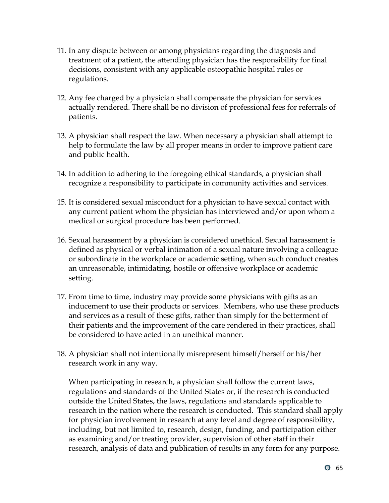- 11. In any dispute between or among physicians regarding the diagnosis and treatment of a patient, the attending physician has the responsibility for final decisions, consistent with any applicable osteopathic hospital rules or regulations.
- 12. Any fee charged by a physician shall compensate the physician for services actually rendered. There shall be no division of professional fees for referrals of patients.
- 13. A physician shall respect the law. When necessary a physician shall attempt to help to formulate the law by all proper means in order to improve patient care and public health.
- 14. In addition to adhering to the foregoing ethical standards, a physician shall recognize a responsibility to participate in community activities and services.
- 15. It is considered sexual misconduct for a physician to have sexual contact with any current patient whom the physician has interviewed and/or upon whom a medical or surgical procedure has been performed.
- 16. Sexual harassment by a physician is considered unethical. Sexual harassment is defined as physical or verbal intimation of a sexual nature involving a colleague or subordinate in the workplace or academic setting, when such conduct creates an unreasonable, intimidating, hostile or offensive workplace or academic setting.
- 17. From time to time, industry may provide some physicians with gifts as an inducement to use their products or services. Members, who use these products and services as a result of these gifts, rather than simply for the betterment of their patients and the improvement of the care rendered in their practices, shall be considered to have acted in an unethical manner.
- 18. A physician shall not intentionally misrepresent himself/herself or his/her research work in any way.

When participating in research, a physician shall follow the current laws, regulations and standards of the United States or, if the research is conducted outside the United States, the laws, regulations and standards applicable to research in the nation where the research is conducted. This standard shall apply for physician involvement in research at any level and degree of responsibility, including, but not limited to, research, design, funding, and participation either as examining and/or treating provider, supervision of other staff in their research, analysis of data and publication of results in any form for any purpose.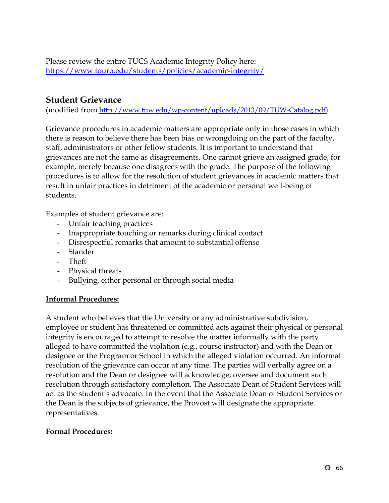Please review the entire TUCS Academic Integrity Policy here: <https://www.touro.edu/students/policies/academic-integrity/>

## <span id="page-69-0"></span>**Student Grievance**

(modified from <http://www.tuw.edu/wp-content/uploads/2013/09/TUW-Catalog.pdf>)

Grievance procedures in academic matters are appropriate only in those cases in which there is reason to believe there has been bias or wrongdoing on the part of the faculty, staff, administrators or other fellow students. It is important to understand that grievances are not the same as disagreements. One cannot grieve an assigned grade, for example, merely because one disagrees with the grade. The purpose of the following procedures is to allow for the resolution of student grievances in academic matters that result in unfair practices in detriment of the academic or personal well-being of students.

Examples of student grievance are:

- Unfair teaching practices
- Inappropriate touching or remarks during clinical contact
- Disrespectful remarks that amount to substantial offense
- Slander
- Theft
- Physical threats
- Bullying, either personal or through social media

#### <span id="page-69-1"></span>**Informal Procedures:**

A student who believes that the University or any administrative subdivision, employee or student has threatened or committed acts against their physical or personal integrity is encouraged to attempt to resolve the matter informally with the party alleged to have committed the violation (e.g., course instructor) and with the Dean or designee or the Program or School in which the alleged violation occurred. An informal resolution of the grievance can occur at any time. The parties will verbally agree on a resolution and the Dean or designee will acknowledge, oversee and document such resolution through satisfactory completion. The Associate Dean of Student Services will act as the student's advocate. In the event that the Associate Dean of Student Services or the Dean is the subjects of grievance, the Provost will designate the appropriate representatives.

#### <span id="page-69-2"></span>**Formal Procedures:**